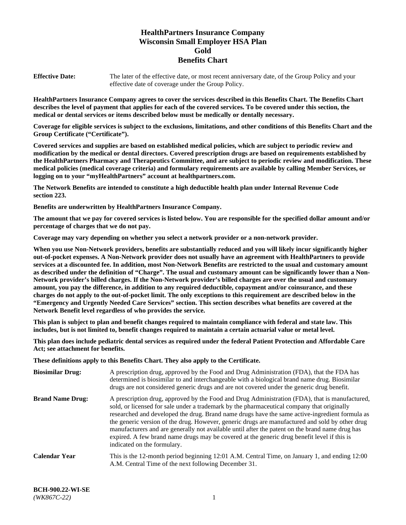# **HealthPartners Insurance Company Wisconsin Small Employer HSA Plan Gold Benefits Chart**

**Effective Date:** The later of the effective date, or most recent anniversary date, of the Group Policy and your effective date of coverage under the Group Policy.

**HealthPartners Insurance Company agrees to cover the services described in this Benefits Chart. The Benefits Chart describes the level of payment that applies for each of the covered services. To be covered under this section, the medical or dental services or items described below must be medically or dentally necessary.**

**Coverage for eligible services is subject to the exclusions, limitations, and other conditions of this Benefits Chart and the Group Certificate ("Certificate").**

**Covered services and supplies are based on established medical policies, which are subject to periodic review and modification by the medical or dental directors. Covered prescription drugs are based on requirements established by the HealthPartners Pharmacy and Therapeutics Committee, and are subject to periodic review and modification. These medical policies (medical coverage criteria) and formulary requirements are available by calling Member Services, or logging on to your "myHealthPartners" account at [healthpartners.com.](https://www.healthpartners.com/hp/index.html)** 

**The Network Benefits are intended to constitute a high deductible health plan under Internal Revenue Code section 223.**

**Benefits are underwritten by HealthPartners Insurance Company.**

**The amount that we pay for covered services is listed below. You are responsible for the specified dollar amount and/or percentage of charges that we do not pay.**

**Coverage may vary depending on whether you select a network provider or a non-network provider.**

**When you use Non-Network providers, benefits are substantially reduced and you will likely incur significantly higher out-of-pocket expenses. A Non-Network provider does not usually have an agreement with HealthPartners to provide services at a discounted fee. In addition, most Non-Network Benefits are restricted to the usual and customary amount as described under the definition of "Charge". The usual and customary amount can be significantly lower than a Non-Network provider's billed charges. If the Non-Network provider's billed charges are over the usual and customary amount, you pay the difference, in addition to any required deductible, copayment and/or coinsurance, and these charges do not apply to the out-of-pocket limit. The only exceptions to this requirement are described below in the "Emergency and Urgently Needed Care Services" section. This section describes what benefits are covered at the Network Benefit level regardless of who provides the service.**

**This plan is subject to plan and benefit changes required to maintain compliance with federal and state law. This includes, but is not limited to, benefit changes required to maintain a certain actuarial value or metal level.**

**This plan does include pediatric dental services as required under the federal Patient Protection and Affordable Care Act; see attachment for benefits.**

**These definitions apply to this Benefits Chart. They also apply to the Certificate.**

| <b>Biosimilar Drug:</b> | A prescription drug, approved by the Food and Drug Administration (FDA), that the FDA has<br>determined is biosimilar to and interchangeable with a biological brand name drug. Biosimilar<br>drugs are not considered generic drugs and are not covered under the generic drug benefit.                                                                                                                                                                                                                                                                                                                                           |
|-------------------------|------------------------------------------------------------------------------------------------------------------------------------------------------------------------------------------------------------------------------------------------------------------------------------------------------------------------------------------------------------------------------------------------------------------------------------------------------------------------------------------------------------------------------------------------------------------------------------------------------------------------------------|
| <b>Brand Name Drug:</b> | A prescription drug, approved by the Food and Drug Administration (FDA), that is manufactured,<br>sold, or licensed for sale under a trademark by the pharmaceutical company that originally<br>researched and developed the drug. Brand name drugs have the same active-ingredient formula as<br>the generic version of the drug. However, generic drugs are manufactured and sold by other drug<br>manufacturers and are generally not available until after the patent on the brand name drug has<br>expired. A few brand name drugs may be covered at the generic drug benefit level if this is<br>indicated on the formulary. |
| <b>Calendar Year</b>    | This is the 12-month period beginning 12:01 A.M. Central Time, on January 1, and ending 12:00<br>A.M. Central Time of the next following December 31.                                                                                                                                                                                                                                                                                                                                                                                                                                                                              |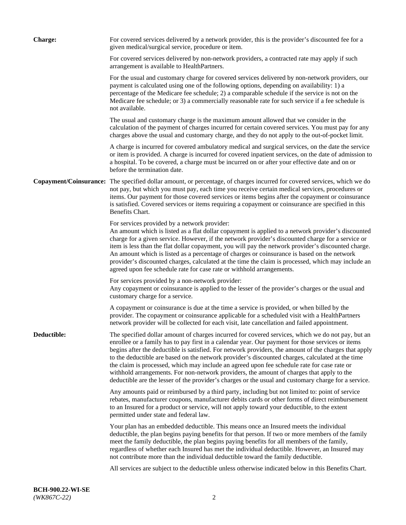| <b>Charge:</b> | For covered services delivered by a network provider, this is the provider's discounted fee for a<br>given medical/surgical service, procedure or item.                                                                                                                                                                                                                                                                                                                                                                                                                                                                                                                                                                 |
|----------------|-------------------------------------------------------------------------------------------------------------------------------------------------------------------------------------------------------------------------------------------------------------------------------------------------------------------------------------------------------------------------------------------------------------------------------------------------------------------------------------------------------------------------------------------------------------------------------------------------------------------------------------------------------------------------------------------------------------------------|
|                | For covered services delivered by non-network providers, a contracted rate may apply if such<br>arrangement is available to HealthPartners.                                                                                                                                                                                                                                                                                                                                                                                                                                                                                                                                                                             |
|                | For the usual and customary charge for covered services delivered by non-network providers, our<br>payment is calculated using one of the following options, depending on availability: 1) a<br>percentage of the Medicare fee schedule; 2) a comparable schedule if the service is not on the<br>Medicare fee schedule; or 3) a commercially reasonable rate for such service if a fee schedule is<br>not available.                                                                                                                                                                                                                                                                                                   |
|                | The usual and customary charge is the maximum amount allowed that we consider in the<br>calculation of the payment of charges incurred for certain covered services. You must pay for any<br>charges above the usual and customary charge, and they do not apply to the out-of-pocket limit.                                                                                                                                                                                                                                                                                                                                                                                                                            |
|                | A charge is incurred for covered ambulatory medical and surgical services, on the date the service<br>or item is provided. A charge is incurred for covered inpatient services, on the date of admission to<br>a hospital. To be covered, a charge must be incurred on or after your effective date and on or<br>before the termination date.                                                                                                                                                                                                                                                                                                                                                                           |
|                | Copayment/Coinsurance: The specified dollar amount, or percentage, of charges incurred for covered services, which we do<br>not pay, but which you must pay, each time you receive certain medical services, procedures or<br>items. Our payment for those covered services or items begins after the copayment or coinsurance<br>is satisfied. Covered services or items requiring a copayment or coinsurance are specified in this<br>Benefits Chart.                                                                                                                                                                                                                                                                 |
|                | For services provided by a network provider:<br>An amount which is listed as a flat dollar copayment is applied to a network provider's discounted<br>charge for a given service. However, if the network provider's discounted charge for a service or<br>item is less than the flat dollar copayment, you will pay the network provider's discounted charge.<br>An amount which is listed as a percentage of charges or coinsurance is based on the network<br>provider's discounted charges, calculated at the time the claim is processed, which may include an<br>agreed upon fee schedule rate for case rate or withhold arrangements.                                                                            |
|                | For services provided by a non-network provider:<br>Any copayment or coinsurance is applied to the lesser of the provider's charges or the usual and<br>customary charge for a service.                                                                                                                                                                                                                                                                                                                                                                                                                                                                                                                                 |
|                | A copayment or coinsurance is due at the time a service is provided, or when billed by the<br>provider. The copayment or coinsurance applicable for a scheduled visit with a HealthPartners<br>network provider will be collected for each visit, late cancellation and failed appointment.                                                                                                                                                                                                                                                                                                                                                                                                                             |
| Deductible:    | The specified dollar amount of charges incurred for covered services, which we do not pay, but an<br>enrollee or a family has to pay first in a calendar year. Our payment for those services or items<br>begins after the deductible is satisfied. For network providers, the amount of the charges that apply<br>to the deductible are based on the network provider's discounted charges, calculated at the time<br>the claim is processed, which may include an agreed upon fee schedule rate for case rate or<br>withhold arrangements. For non-network providers, the amount of charges that apply to the<br>deductible are the lesser of the provider's charges or the usual and customary charge for a service. |
|                | Any amounts paid or reimbursed by a third party, including but not limited to: point of service<br>rebates, manufacturer coupons, manufacturer debits cards or other forms of direct reimbursement<br>to an Insured for a product or service, will not apply toward your deductible, to the extent<br>permitted under state and federal law.                                                                                                                                                                                                                                                                                                                                                                            |
|                | Your plan has an embedded deductible. This means once an Insured meets the individual<br>deductible, the plan begins paying benefits for that person. If two or more members of the family<br>meet the family deductible, the plan begins paying benefits for all members of the family,<br>regardless of whether each Insured has met the individual deductible. However, an Insured may<br>not contribute more than the individual deductible toward the family deductible.                                                                                                                                                                                                                                           |
|                | All services are subject to the deductible unless otherwise indicated below in this Benefits Chart.                                                                                                                                                                                                                                                                                                                                                                                                                                                                                                                                                                                                                     |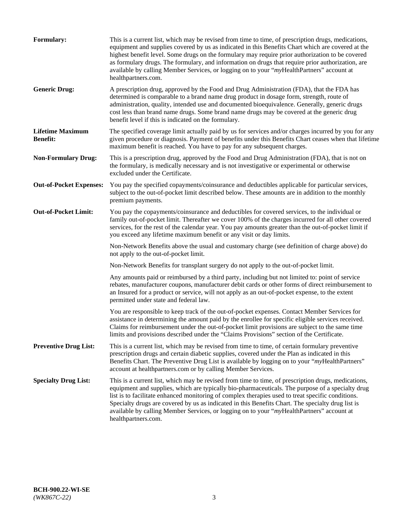| Formulary:                                 | This is a current list, which may be revised from time to time, of prescription drugs, medications,<br>equipment and supplies covered by us as indicated in this Benefits Chart which are covered at the<br>highest benefit level. Some drugs on the formulary may require prior authorization to be covered<br>as formulary drugs. The formulary, and information on drugs that require prior authorization, are<br>available by calling Member Services, or logging on to your "myHealthPartners" account at<br>healthpartners.com. |
|--------------------------------------------|---------------------------------------------------------------------------------------------------------------------------------------------------------------------------------------------------------------------------------------------------------------------------------------------------------------------------------------------------------------------------------------------------------------------------------------------------------------------------------------------------------------------------------------|
| <b>Generic Drug:</b>                       | A prescription drug, approved by the Food and Drug Administration (FDA), that the FDA has<br>determined is comparable to a brand name drug product in dosage form, strength, route of<br>administration, quality, intended use and documented bioequivalence. Generally, generic drugs<br>cost less than brand name drugs. Some brand name drugs may be covered at the generic drug<br>benefit level if this is indicated on the formulary.                                                                                           |
| <b>Lifetime Maximum</b><br><b>Benefit:</b> | The specified coverage limit actually paid by us for services and/or charges incurred by you for any<br>given procedure or diagnosis. Payment of benefits under this Benefits Chart ceases when that lifetime<br>maximum benefit is reached. You have to pay for any subsequent charges.                                                                                                                                                                                                                                              |
| <b>Non-Formulary Drug:</b>                 | This is a prescription drug, approved by the Food and Drug Administration (FDA), that is not on<br>the formulary, is medically necessary and is not investigative or experimental or otherwise<br>excluded under the Certificate.                                                                                                                                                                                                                                                                                                     |
| <b>Out-of-Pocket Expenses:</b>             | You pay the specified copayments/coinsurance and deductibles applicable for particular services,<br>subject to the out-of-pocket limit described below. These amounts are in addition to the monthly<br>premium payments.                                                                                                                                                                                                                                                                                                             |
| <b>Out-of-Pocket Limit:</b>                | You pay the copayments/coinsurance and deductibles for covered services, to the individual or<br>family out-of-pocket limit. Thereafter we cover 100% of the charges incurred for all other covered<br>services, for the rest of the calendar year. You pay amounts greater than the out-of-pocket limit if<br>you exceed any lifetime maximum benefit or any visit or day limits.                                                                                                                                                    |
|                                            | Non-Network Benefits above the usual and customary charge (see definition of charge above) do<br>not apply to the out-of-pocket limit.                                                                                                                                                                                                                                                                                                                                                                                                |
|                                            | Non-Network Benefits for transplant surgery do not apply to the out-of-pocket limit.                                                                                                                                                                                                                                                                                                                                                                                                                                                  |
|                                            | Any amounts paid or reimbursed by a third party, including but not limited to: point of service<br>rebates, manufacturer coupons, manufacturer debit cards or other forms of direct reimbursement to<br>an Insured for a product or service, will not apply as an out-of-pocket expense, to the extent<br>permitted under state and federal law.                                                                                                                                                                                      |
|                                            | You are responsible to keep track of the out-of-pocket expenses. Contact Member Services for<br>assistance in determining the amount paid by the enrollee for specific eligible services received.<br>Claims for reimbursement under the out-of-pocket limit provisions are subject to the same time<br>limits and provisions described under the "Claims Provisions" section of the Certificate.                                                                                                                                     |
| <b>Preventive Drug List:</b>               | This is a current list, which may be revised from time to time, of certain formulary preventive<br>prescription drugs and certain diabetic supplies, covered under the Plan as indicated in this<br>Benefits Chart. The Preventive Drug List is available by logging on to your "myHealthPartners"<br>account at healthpartners.com or by calling Member Services.                                                                                                                                                                    |
| <b>Specialty Drug List:</b>                | This is a current list, which may be revised from time to time, of prescription drugs, medications,<br>equipment and supplies, which are typically bio-pharmaceuticals. The purpose of a specialty drug<br>list is to facilitate enhanced monitoring of complex therapies used to treat specific conditions.<br>Specialty drugs are covered by us as indicated in this Benefits Chart. The specialty drug list is<br>available by calling Member Services, or logging on to your "myHealthPartners" account at<br>healthpartners.com. |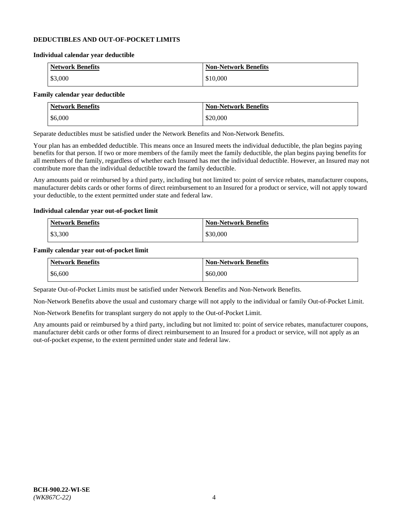#### **DEDUCTIBLES AND OUT-OF-POCKET LIMITS**

#### **Individual calendar year deductible**

| <b>Network Benefits</b> | <b>Non-Network Benefits</b> |
|-------------------------|-----------------------------|
| \$3,000                 | \$10,000                    |

#### **Family calendar year deductible**

| <b>Network Benefits</b> | <b>Non-Network Benefits</b> |
|-------------------------|-----------------------------|
| \$6,000                 | \$20,000                    |

Separate deductibles must be satisfied under the Network Benefits and Non-Network Benefits.

Your plan has an embedded deductible. This means once an Insured meets the individual deductible, the plan begins paying benefits for that person. If two or more members of the family meet the family deductible, the plan begins paying benefits for all members of the family, regardless of whether each Insured has met the individual deductible. However, an Insured may not contribute more than the individual deductible toward the family deductible.

Any amounts paid or reimbursed by a third party, including but not limited to: point of service rebates, manufacturer coupons, manufacturer debits cards or other forms of direct reimbursement to an Insured for a product or service, will not apply toward your deductible, to the extent permitted under state and federal law.

#### **Individual calendar year out-of-pocket limit**

| Network Benefits | Non-Network Benefits |
|------------------|----------------------|
| \$3,300          | \$30,000             |

#### **Family calendar year out-of-pocket limit**

| <b>Network Benefits</b> | <b>Non-Network Benefits</b> |
|-------------------------|-----------------------------|
| \$6,600                 | \$60,000                    |

Separate Out-of-Pocket Limits must be satisfied under Network Benefits and Non-Network Benefits.

Non-Network Benefits above the usual and customary charge will not apply to the individual or family Out-of-Pocket Limit.

Non-Network Benefits for transplant surgery do not apply to the Out-of-Pocket Limit.

Any amounts paid or reimbursed by a third party, including but not limited to: point of service rebates, manufacturer coupons, manufacturer debit cards or other forms of direct reimbursement to an Insured for a product or service, will not apply as an out-of-pocket expense, to the extent permitted under state and federal law.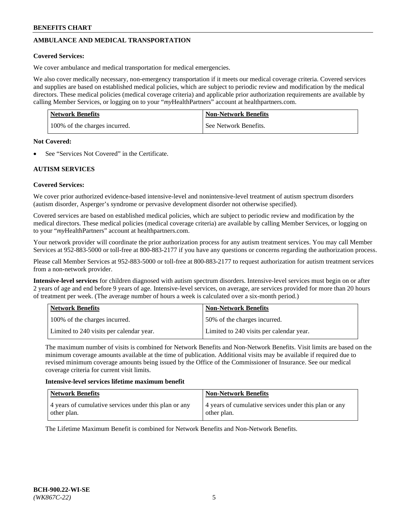# **AMBULANCE AND MEDICAL TRANSPORTATION**

## **Covered Services:**

We cover ambulance and medical transportation for medical emergencies.

We also cover medically necessary, non-emergency transportation if it meets our medical coverage criteria. Covered services and supplies are based on established medical policies, which are subject to periodic review and modification by the medical directors. These medical policies (medical coverage criteria) and applicable prior authorization requirements are available by calling Member Services, or logging on to your "*my*HealthPartners" account a[t healthpartners.com.](https://www.healthpartners.com/hp/index.html)

| Network Benefits              | <b>Non-Network Benefits</b> |
|-------------------------------|-----------------------------|
| 100% of the charges incurred. | See Network Benefits.       |

#### **Not Covered:**

See "Services Not Covered" in the Certificate.

# **AUTISM SERVICES**

# **Covered Services:**

We cover prior authorized evidence-based intensive-level and nonintensive-level treatment of autism spectrum disorders (autism disorder, Asperger's syndrome or pervasive development disorder not otherwise specified).

Covered services are based on established medical policies, which are subject to periodic review and modification by the medical directors. These medical policies (medical coverage criteria) are available by calling Member Services, or logging on to your "*my*HealthPartners" account at [healthpartners.com.](https://www.healthpartners.com/hp/index.html)

Your network provider will coordinate the prior authorization process for any autism treatment services. You may call Member Services at 952-883-5000 or toll-free at 800-883-2177 if you have any questions or concerns regarding the authorization process.

Please call Member Services at 952-883-5000 or toll-free at 800-883-2177 to request authorization for autism treatment services from a non-network provider.

**Intensive-level services** for children diagnosed with autism spectrum disorders. Intensive-level services must begin on or after 2 years of age and end before 9 years of age. Intensive-level services, on average, are services provided for more than 20 hours of treatment per week. (The average number of hours a week is calculated over a six-month period.)

| Network Benefits                         | <b>Non-Network Benefits</b>              |
|------------------------------------------|------------------------------------------|
| 100% of the charges incurred.            | 50% of the charges incurred.             |
| Limited to 240 visits per calendar year. | Limited to 240 visits per calendar year. |

The maximum number of visits is combined for Network Benefits and Non-Network Benefits. Visit limits are based on the minimum coverage amounts available at the time of publication. Additional visits may be available if required due to revised minimum coverage amounts being issued by the Office of the Commissioner of Insurance. See our medical coverage criteria for current visit limits.

#### **Intensive-level services lifetime maximum benefit**

| Network Benefits                                                     | <b>Non-Network Benefits</b>                                          |
|----------------------------------------------------------------------|----------------------------------------------------------------------|
| 4 years of cumulative services under this plan or any<br>other plan. | 4 years of cumulative services under this plan or any<br>other plan. |

The Lifetime Maximum Benefit is combined for Network Benefits and Non-Network Benefits.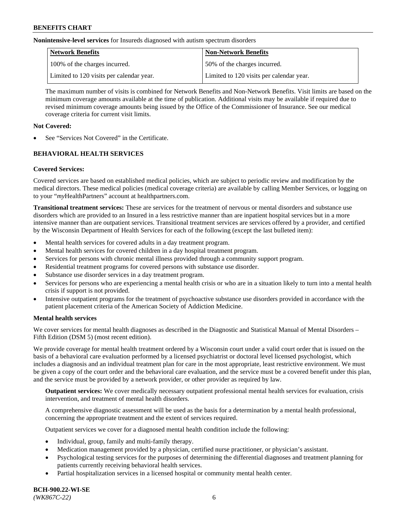**Nonintensive-level services** for Insureds diagnosed with autism spectrum disorders

| Network Benefits                         | <b>Non-Network Benefits</b>              |
|------------------------------------------|------------------------------------------|
| 100% of the charges incurred.            | 50% of the charges incurred.             |
| Limited to 120 visits per calendar year. | Limited to 120 visits per calendar year. |

The maximum number of visits is combined for Network Benefits and Non-Network Benefits. Visit limits are based on the minimum coverage amounts available at the time of publication. Additional visits may be available if required due to revised minimum coverage amounts being issued by the Office of the Commissioner of Insurance. See our medical coverage criteria for current visit limits.

# **Not Covered:**

See "Services Not Covered" in the Certificate.

# **BEHAVIORAL HEALTH SERVICES**

# **Covered Services:**

Covered services are based on established medical policies, which are subject to periodic review and modification by the medical directors. These medical policies (medical coverage criteria) are available by calling Member Services, or logging on to your "*my*HealthPartners" account at [healthpartners.com.](https://www.healthpartners.com/hp/index.html)

**Transitional treatment services:** These are services for the treatment of nervous or mental disorders and substance use disorders which are provided to an Insured in a less restrictive manner than are inpatient hospital services but in a more intensive manner than are outpatient services. Transitional treatment services are services offered by a provider, and certified by the Wisconsin Department of Health Services for each of the following (except the last bulleted item):

- Mental health services for covered adults in a day treatment program.
- Mental health services for covered children in a day hospital treatment program.
- Services for persons with chronic mental illness provided through a community support program.
- Residential treatment programs for covered persons with substance use disorder.
- Substance use disorder services in a day treatment program.
- Services for persons who are experiencing a mental health crisis or who are in a situation likely to turn into a mental health crisis if support is not provided.
- Intensive outpatient programs for the treatment of psychoactive substance use disorders provided in accordance with the patient placement criteria of the American Society of Addiction Medicine.

# **Mental health services**

We cover services for mental health diagnoses as described in the Diagnostic and Statistical Manual of Mental Disorders – Fifth Edition (DSM 5) (most recent edition).

We provide coverage for mental health treatment ordered by a Wisconsin court under a valid court order that is issued on the basis of a behavioral care evaluation performed by a licensed psychiatrist or doctoral level licensed psychologist, which includes a diagnosis and an individual treatment plan for care in the most appropriate, least restrictive environment. We must be given a copy of the court order and the behavioral care evaluation, and the service must be a covered benefit under this plan, and the service must be provided by a network provider, or other provider as required by law.

**Outpatient services:** We cover medically necessary outpatient professional mental health services for evaluation, crisis intervention, and treatment of mental health disorders.

A comprehensive diagnostic assessment will be used as the basis for a determination by a mental health professional, concerning the appropriate treatment and the extent of services required.

Outpatient services we cover for a diagnosed mental health condition include the following:

- Individual, group, family and multi-family therapy.
- Medication management provided by a physician, certified nurse practitioner, or physician's assistant.
- Psychological testing services for the purposes of determining the differential diagnoses and treatment planning for patients currently receiving behavioral health services.
- Partial hospitalization services in a licensed hospital or community mental health center.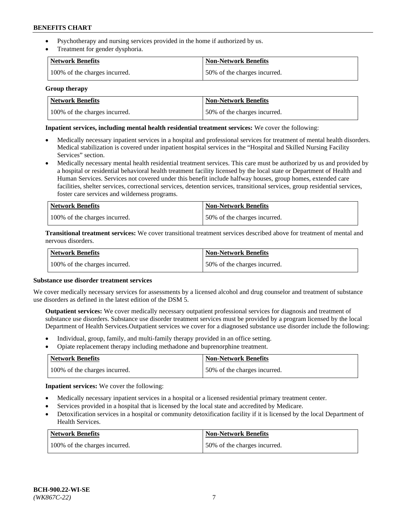- Psychotherapy and nursing services provided in the home if authorized by us.
- Treatment for gender dysphoria.

| Network Benefits              | <b>Non-Network Benefits</b>  |
|-------------------------------|------------------------------|
| 100% of the charges incurred. | 50% of the charges incurred. |

#### **Group therapy**

| Network Benefits              | Non-Network Benefits         |
|-------------------------------|------------------------------|
| 100% of the charges incurred. | 50% of the charges incurred. |

#### **Inpatient services, including mental health residential treatment services:** We cover the following:

- Medically necessary inpatient services in a hospital and professional services for treatment of mental health disorders. Medical stabilization is covered under inpatient hospital services in the "Hospital and Skilled Nursing Facility Services" section.
- Medically necessary mental health residential treatment services. This care must be authorized by us and provided by a hospital or residential behavioral health treatment facility licensed by the local state or Department of Health and Human Services. Services not covered under this benefit include halfway houses, group homes, extended care facilities, shelter services, correctional services, detention services, transitional services, group residential services, foster care services and wilderness programs.

| Network Benefits              | <b>Non-Network Benefits</b>  |
|-------------------------------|------------------------------|
| 100% of the charges incurred. | 50% of the charges incurred. |

**Transitional treatment services:** We cover transitional treatment services described above for treatment of mental and nervous disorders.

| Network Benefits              | <b>Non-Network Benefits</b>  |
|-------------------------------|------------------------------|
| 100% of the charges incurred. | 50% of the charges incurred. |

#### **Substance use disorder treatment services**

We cover medically necessary services for assessments by a licensed alcohol and drug counselor and treatment of substance use disorders as defined in the latest edition of the DSM 5.

**Outpatient services:** We cover medically necessary outpatient professional services for diagnosis and treatment of substance use disorders. Substance use disorder treatment services must be provided by a program licensed by the local Department of Health Services.Outpatient services we cover for a diagnosed substance use disorder include the following:

- Individual, group, family, and multi-family therapy provided in an office setting.
- Opiate replacement therapy including methadone and buprenorphine treatment.

| Network Benefits              | <b>Non-Network Benefits</b>  |
|-------------------------------|------------------------------|
| 100% of the charges incurred. | 50% of the charges incurred. |

**Inpatient services:** We cover the following:

- Medically necessary inpatient services in a hospital or a licensed residential primary treatment center.
- Services provided in a hospital that is licensed by the local state and accredited by Medicare.
- Detoxification services in a hospital or community detoxification facility if it is licensed by the local Department of Health Services.

| Network Benefits              | <b>Non-Network Benefits</b>  |
|-------------------------------|------------------------------|
| 100% of the charges incurred. | 50% of the charges incurred. |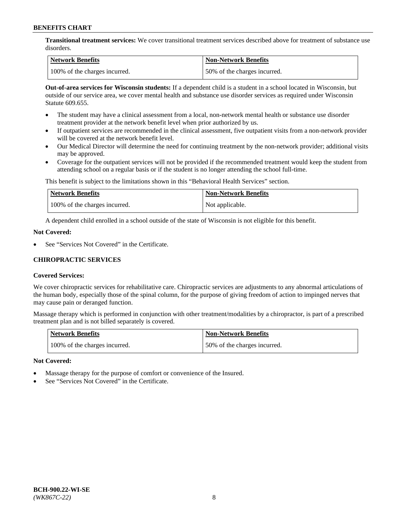**Transitional treatment services:** We cover transitional treatment services described above for treatment of substance use disorders.

| Network Benefits              | <b>Non-Network Benefits</b>  |
|-------------------------------|------------------------------|
| 100% of the charges incurred. | 50% of the charges incurred. |

**Out-of-area services for Wisconsin students:** If a dependent child is a student in a school located in Wisconsin, but outside of our service area, we cover mental health and substance use disorder services as required under Wisconsin Statute 609.655.

- The student may have a clinical assessment from a local, non-network mental health or substance use disorder treatment provider at the network benefit level when prior authorized by us.
- If outpatient services are recommended in the clinical assessment, five outpatient visits from a non-network provider will be covered at the network benefit level.
- Our Medical Director will determine the need for continuing treatment by the non-network provider; additional visits may be approved.
- Coverage for the outpatient services will not be provided if the recommended treatment would keep the student from attending school on a regular basis or if the student is no longer attending the school full-time.

This benefit is subject to the limitations shown in this "Behavioral Health Services" section.

| Network Benefits              | <b>Non-Network Benefits</b> |
|-------------------------------|-----------------------------|
| 100% of the charges incurred. | Not applicable.             |

A dependent child enrolled in a school outside of the state of Wisconsin is not eligible for this benefit.

#### **Not Covered:**

See "Services Not Covered" in the Certificate.

# **CHIROPRACTIC SERVICES**

# **Covered Services:**

We cover chiropractic services for rehabilitative care. Chiropractic services are adjustments to any abnormal articulations of the human body, especially those of the spinal column, for the purpose of giving freedom of action to impinged nerves that may cause pain or deranged function.

Massage therapy which is performed in conjunction with other treatment/modalities by a chiropractor, is part of a prescribed treatment plan and is not billed separately is covered.

| <b>Network Benefits</b>       | <b>Non-Network Benefits</b>  |
|-------------------------------|------------------------------|
| 100% of the charges incurred. | 50% of the charges incurred. |

# **Not Covered:**

- Massage therapy for the purpose of comfort or convenience of the Insured.
- See "Services Not Covered" in the Certificate.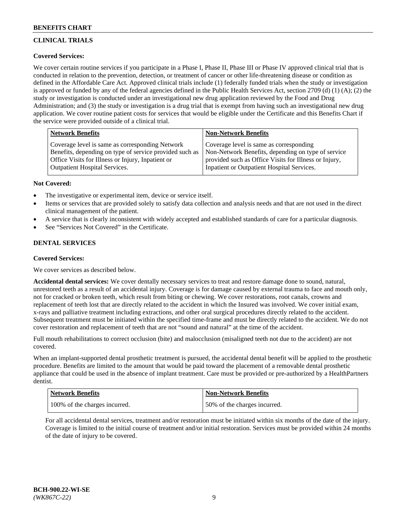# **CLINICAL TRIALS**

# **Covered Services:**

We cover certain routine services if you participate in a Phase I, Phase II, Phase III or Phase IV approved clinical trial that is conducted in relation to the prevention, detection, or treatment of cancer or other life-threatening disease or condition as defined in the Affordable Care Act. Approved clinical trials include (1) federally funded trials when the study or investigation is approved or funded by any of the federal agencies defined in the Public Health Services Act, section 2709 (d) (1) (A); (2) the study or investigation is conducted under an investigational new drug application reviewed by the Food and Drug Administration; and (3) the study or investigation is a drug trial that is exempt from having such an investigational new drug application. We cover routine patient costs for services that would be eligible under the Certificate and this Benefits Chart if the service were provided outside of a clinical trial.

| <b>Network Benefits</b>                                                                                                                                         | <b>Non-Network Benefits</b>                                                                                                                            |
|-----------------------------------------------------------------------------------------------------------------------------------------------------------------|--------------------------------------------------------------------------------------------------------------------------------------------------------|
| Coverage level is same as corresponding Network<br>Benefits, depending on type of service provided such as<br>Office Visits for Illness or Injury, Inpatient or | Coverage level is same as corresponding<br>Non-Network Benefits, depending on type of service<br>provided such as Office Visits for Illness or Injury, |
| <b>Outpatient Hospital Services.</b>                                                                                                                            | Inpatient or Outpatient Hospital Services.                                                                                                             |

#### **Not Covered:**

- The investigative or experimental item, device or service itself.
- Items or services that are provided solely to satisfy data collection and analysis needs and that are not used in the direct clinical management of the patient.
- A service that is clearly inconsistent with widely accepted and established standards of care for a particular diagnosis.
- See "Services Not Covered" in the Certificate.

# **DENTAL SERVICES**

# **Covered Services:**

We cover services as described below.

**Accidental dental services:** We cover dentally necessary services to treat and restore damage done to sound, natural, unrestored teeth as a result of an accidental injury. Coverage is for damage caused by external trauma to face and mouth only, not for cracked or broken teeth, which result from biting or chewing. We cover restorations, root canals, crowns and replacement of teeth lost that are directly related to the accident in which the Insured was involved. We cover initial exam, x-rays and palliative treatment including extractions, and other oral surgical procedures directly related to the accident. Subsequent treatment must be initiated within the specified time-frame and must be directly related to the accident. We do not cover restoration and replacement of teeth that are not "sound and natural" at the time of the accident.

Full mouth rehabilitations to correct occlusion (bite) and malocclusion (misaligned teeth not due to the accident) are not covered.

When an implant-supported dental prosthetic treatment is pursued, the accidental dental benefit will be applied to the prosthetic procedure. Benefits are limited to the amount that would be paid toward the placement of a removable dental prosthetic appliance that could be used in the absence of implant treatment. Care must be provided or pre-authorized by a HealthPartners dentist.

| Network Benefits              | <b>Non-Network Benefits</b>  |
|-------------------------------|------------------------------|
| 100% of the charges incurred. | 50% of the charges incurred. |

For all accidental dental services, treatment and/or restoration must be initiated within six months of the date of the injury. Coverage is limited to the initial course of treatment and/or initial restoration. Services must be provided within 24 months of the date of injury to be covered.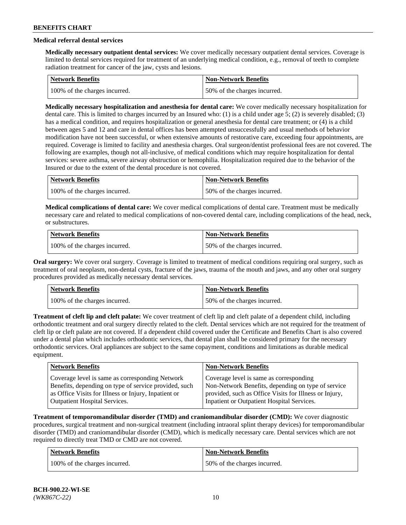# **Medical referral dental services**

**Medically necessary outpatient dental services:** We cover medically necessary outpatient dental services. Coverage is limited to dental services required for treatment of an underlying medical condition, e.g., removal of teeth to complete radiation treatment for cancer of the jaw, cysts and lesions.

| <b>Network Benefits</b>       | Non-Network Benefits         |
|-------------------------------|------------------------------|
| 100% of the charges incurred. | 50% of the charges incurred. |

**Medically necessary hospitalization and anesthesia for dental care:** We cover medically necessary hospitalization for dental care. This is limited to charges incurred by an Insured who: (1) is a child under age 5; (2) is severely disabled; (3) has a medical condition, and requires hospitalization or general anesthesia for dental care treatment; or (4) is a child between ages 5 and 12 and care in dental offices has been attempted unsuccessfully and usual methods of behavior modification have not been successful, or when extensive amounts of restorative care, exceeding four appointments, are required. Coverage is limited to facility and anesthesia charges. Oral surgeon/dentist professional fees are not covered. The following are examples, though not all-inclusive, of medical conditions which may require hospitalization for dental services: severe asthma, severe airway obstruction or hemophilia. Hospitalization required due to the behavior of the Insured or due to the extent of the dental procedure is not covered.

| Network Benefits              | <b>Non-Network Benefits</b>  |
|-------------------------------|------------------------------|
| 100% of the charges incurred. | 50% of the charges incurred. |

**Medical complications of dental care:** We cover medical complications of dental care. Treatment must be medically necessary care and related to medical complications of non-covered dental care, including complications of the head, neck, or substructures.

| Network Benefits              | <b>Non-Network Benefits</b>  |
|-------------------------------|------------------------------|
| 100% of the charges incurred. | 50% of the charges incurred. |

**Oral surgery:** We cover oral surgery. Coverage is limited to treatment of medical conditions requiring oral surgery, such as treatment of oral neoplasm, non-dental cysts, fracture of the jaws, trauma of the mouth and jaws, and any other oral surgery procedures provided as medically necessary dental services.

| Network Benefits              | <b>Non-Network Benefits</b>  |
|-------------------------------|------------------------------|
| 100% of the charges incurred. | 50% of the charges incurred. |

**Treatment of cleft lip and cleft palate:** We cover treatment of cleft lip and cleft palate of a dependent child, including orthodontic treatment and oral surgery directly related to the cleft. Dental services which are not required for the treatment of cleft lip or cleft palate are not covered. If a dependent child covered under the Certificate and Benefits Chart is also covered under a dental plan which includes orthodontic services, that dental plan shall be considered primary for the necessary orthodontic services. Oral appliances are subject to the same copayment, conditions and limitations as durable medical equipment.

| <b>Network Benefits</b>                               | <b>Non-Network Benefits</b>                            |
|-------------------------------------------------------|--------------------------------------------------------|
| Coverage level is same as corresponding Network       | Coverage level is same as corresponding                |
| Benefits, depending on type of service provided, such | Non-Network Benefits, depending on type of service     |
| as Office Visits for Illness or Injury, Inpatient or  | provided, such as Office Visits for Illness or Injury, |
| Outpatient Hospital Services.                         | Inpatient or Outpatient Hospital Services.             |

**Treatment of temporomandibular disorder (TMD) and craniomandibular disorder (CMD):** We cover diagnostic procedures, surgical treatment and non-surgical treatment (including intraoral splint therapy devices) for temporomandibular disorder (TMD) and craniomandibular disorder (CMD), which is medically necessary care. Dental services which are not required to directly treat TMD or CMD are not covered.

| <b>Network Benefits</b>       | <b>Non-Network Benefits</b>  |
|-------------------------------|------------------------------|
| 100% of the charges incurred. | 50% of the charges incurred. |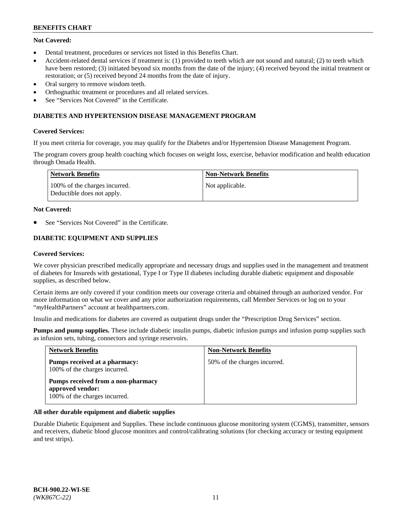# **Not Covered:**

- Dental treatment, procedures or services not listed in this Benefits Chart.
- Accident-related dental services if treatment is: (1) provided to teeth which are not sound and natural; (2) to teeth which have been restored; (3) initiated beyond six months from the date of the injury; (4) received beyond the initial treatment or restoration; or (5) received beyond 24 months from the date of injury.
- Oral surgery to remove wisdom teeth.
- Orthognathic treatment or procedures and all related services.
- See "Services Not Covered" in the Certificate.

#### **DIABETES AND HYPERTENSION DISEASE MANAGEMENT PROGRAM**

#### **Covered Services:**

If you meet criteria for coverage, you may qualify for the Diabetes and/or Hypertension Disease Management Program.

The program covers group health coaching which focuses on weight loss, exercise, behavior modification and health education through Omada Health.

| <b>Network Benefits</b>                                     | <b>Non-Network Benefits</b> |
|-------------------------------------------------------------|-----------------------------|
| 100% of the charges incurred.<br>Deductible does not apply. | Not applicable.             |

#### **Not Covered:**

See "Services Not Covered" in the Certificate.

# **DIABETIC EQUIPMENT AND SUPPLIES**

#### **Covered Services:**

We cover physician prescribed medically appropriate and necessary drugs and supplies used in the management and treatment of diabetes for Insureds with gestational, Type I or Type II diabetes including durable diabetic equipment and disposable supplies, as described below.

Certain items are only covered if your condition meets our coverage criteria and obtained through an authorized vendor. For more information on what we cover and any prior authorization requirements, call Member Services or log on to your "*my*HealthPartners" account at [healthpartners.com.](http://www.healthpartners.com/)

Insulin and medications for diabetes are covered as outpatient drugs under the "Prescription Drug Services" section.

**Pumps and pump supplies.** These include diabetic insulin pumps, diabetic infusion pumps and infusion pump supplies such as infusion sets, tubing, connectors and syringe reservoirs.

| <b>Network Benefits</b>                                                                 | <b>Non-Network Benefits</b>  |
|-----------------------------------------------------------------------------------------|------------------------------|
| <b>Pumps received at a pharmacy:</b><br>100% of the charges incurred.                   | 50% of the charges incurred. |
| Pumps received from a non-pharmacy<br>approved vendor:<br>100% of the charges incurred. |                              |

# **All other durable equipment and diabetic supplies**

Durable Diabetic Equipment and Supplies. These include continuous glucose monitoring system (CGMS), transmitter, sensors and receivers, diabetic blood glucose monitors and control/calibrating solutions (for checking accuracy or testing equipment and test strips).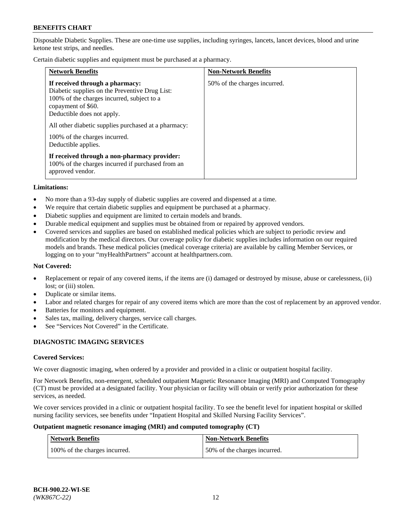Disposable Diabetic Supplies. These are one-time use supplies, including syringes, lancets, lancet devices, blood and urine ketone test strips, and needles.

Certain diabetic supplies and equipment must be purchased at a pharmacy.

| <b>Network Benefits</b>                                                                                                                                                                                                                                                                             | <b>Non-Network Benefits</b>  |
|-----------------------------------------------------------------------------------------------------------------------------------------------------------------------------------------------------------------------------------------------------------------------------------------------------|------------------------------|
| If received through a pharmacy:<br>Diabetic supplies on the Preventive Drug List:<br>100% of the charges incurred, subject to a<br>copayment of \$60.<br>Deductible does not apply.<br>All other diabetic supplies purchased at a pharmacy:<br>100% of the charges incurred.<br>Deductible applies. | 50% of the charges incurred. |
| If received through a non-pharmacy provider:<br>100% of the charges incurred if purchased from an<br>approved vendor.                                                                                                                                                                               |                              |

#### **Limitations:**

- No more than a 93-day supply of diabetic supplies are covered and dispensed at a time.
- We require that certain diabetic supplies and equipment be purchased at a pharmacy.
- Diabetic supplies and equipment are limited to certain models and brands.
- Durable medical equipment and supplies must be obtained from or repaired by approved vendors.
- Covered services and supplies are based on established medical policies which are subject to periodic review and modification by the medical directors. Our coverage policy for diabetic supplies includes information on our required models and brands. These medical policies (medical coverage criteria) are available by calling Member Services, or logging on to your "myHealthPartners" account at [healthpartners.com.](http://www.healthpartners.com/)

#### **Not Covered:**

- Replacement or repair of any covered items, if the items are (i) damaged or destroyed by misuse, abuse or carelessness, (ii) lost; or (iii) stolen.
- Duplicate or similar items.
- Labor and related charges for repair of any covered items which are more than the cost of replacement by an approved vendor.
- Batteries for monitors and equipment.
- Sales tax, mailing, delivery charges, service call charges.
- See "Services Not Covered" in the Certificate.

# **DIAGNOSTIC IMAGING SERVICES**

#### **Covered Services:**

We cover diagnostic imaging, when ordered by a provider and provided in a clinic or outpatient hospital facility.

For Network Benefits, non-emergent, scheduled outpatient Magnetic Resonance Imaging (MRI) and Computed Tomography (CT) must be provided at a designated facility. Your physician or facility will obtain or verify prior authorization for these services, as needed.

We cover services provided in a clinic or outpatient hospital facility. To see the benefit level for inpatient hospital or skilled nursing facility services, see benefits under "Inpatient Hospital and Skilled Nursing Facility Services".

#### **Outpatient magnetic resonance imaging (MRI) and computed tomography (CT)**

| <b>Network Benefits</b>       | <b>Non-Network Benefits</b>  |
|-------------------------------|------------------------------|
| 100% of the charges incurred. | 50% of the charges incurred. |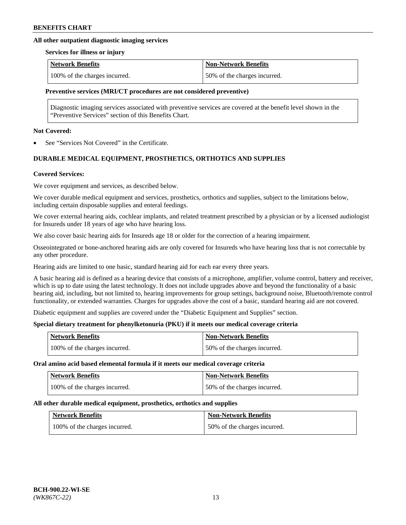## **All other outpatient diagnostic imaging services**

#### **Services for illness or injury**

| <b>Network Benefits</b>       | <b>Non-Network Benefits</b>  |
|-------------------------------|------------------------------|
| 100% of the charges incurred. | 50% of the charges incurred. |

#### **Preventive services (MRI/CT procedures are not considered preventive)**

Diagnostic imaging services associated with preventive services are covered at the benefit level shown in the "Preventive Services" section of this Benefits Chart.

#### **Not Covered:**

See "Services Not Covered" in the Certificate.

# **DURABLE MEDICAL EQUIPMENT, PROSTHETICS, ORTHOTICS AND SUPPLIES**

#### **Covered Services:**

We cover equipment and services, as described below.

We cover durable medical equipment and services, prosthetics, orthotics and supplies, subject to the limitations below, including certain disposable supplies and enteral feedings.

We cover external hearing aids, cochlear implants, and related treatment prescribed by a physician or by a licensed audiologist for Insureds under 18 years of age who have hearing loss.

We also cover basic hearing aids for Insureds age 18 or older for the correction of a hearing impairment.

Osseointegrated or bone-anchored hearing aids are only covered for Insureds who have hearing loss that is not correctable by any other procedure.

Hearing aids are limited to one basic, standard hearing aid for each ear every three years.

A basic hearing aid is defined as a hearing device that consists of a microphone, amplifier, volume control, battery and receiver, which is up to date using the latest technology. It does not include upgrades above and beyond the functionality of a basic hearing aid, including, but not limited to, hearing improvements for group settings, background noise, Bluetooth/remote control functionality, or extended warranties. Charges for upgrades above the cost of a basic, standard hearing aid are not covered.

Diabetic equipment and supplies are covered under the "Diabetic Equipment and Supplies" section.

# **Special dietary treatment for phenylketonuria (PKU) if it meets our medical coverage criteria**

| <b>Network Benefits</b>       | <b>Non-Network Benefits</b>  |
|-------------------------------|------------------------------|
| 100% of the charges incurred. | 50% of the charges incurred. |

#### **Oral amino acid based elemental formula if it meets our medical coverage criteria**

| <b>Network Benefits</b>       | <b>Non-Network Benefits</b>  |
|-------------------------------|------------------------------|
| 100% of the charges incurred. | 50% of the charges incurred. |

#### **All other durable medical equipment, prosthetics, orthotics and supplies**

| <b>Network Benefits</b>       | <b>Non-Network Benefits</b>  |
|-------------------------------|------------------------------|
| 100% of the charges incurred. | 50% of the charges incurred. |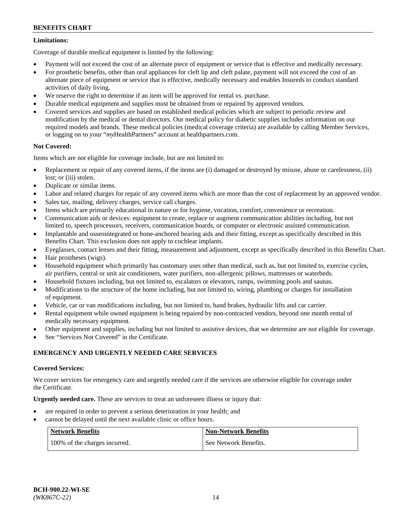# **Limitations:**

Coverage of durable medical equipment is limited by the following:

- Payment will not exceed the cost of an alternate piece of equipment or service that is effective and medically necessary.
- For prosthetic benefits, other than oral appliances for cleft lip and cleft palate, payment will not exceed the cost of an alternate piece of equipment or service that is effective, medically necessary and enables Insureds to conduct standard activities of daily living.
- We reserve the right to determine if an item will be approved for rental vs. purchase.
- Durable medical equipment and supplies must be obtained from or repaired by approved vendors.
- Covered services and supplies are based on established medical policies which are subject to periodic review and modification by the medical or dental directors. Our medical policy for diabetic supplies includes information on our required models and brands. These medical policies (medical coverage criteria) are available by calling Member Services, or logging on to your "*my*HealthPartners" account a[t healthpartners.com.](http://www.healthpartners.com/)

# **Not Covered:**

Items which are not eligible for coverage include, but are not limited to:

- Replacement or repair of any covered items, if the items are (i) damaged or destroyed by misuse, abuse or carelessness, (ii) lost; or (iii) stolen.
- Duplicate or similar items.
- Labor and related charges for repair of any covered items which are more than the cost of replacement by an approved vendor.
- Sales tax, mailing, delivery charges, service call charges.
- Items which are primarily educational in nature or for hygiene, vocation, comfort, convenience or recreation.
- Communication aids or devices: equipment to create, replace or augment communication abilities including, but not limited to, speech processors, receivers, communication boards, or computer or electronic assisted communication.
- Implantable and osseointegrated or bone-anchored hearing aids and their fitting, except as specifically described in this Benefits Chart. This exclusion does not apply to cochlear implants.
- Eyeglasses, contact lenses and their fitting, measurement and adjustment, except as specifically described in this Benefits Chart.
- Hair prostheses (wigs).
- Household equipment which primarily has customary uses other than medical, such as, but not limited to, exercise cycles, air purifiers, central or unit air conditioners, water purifiers, non-allergenic pillows, mattresses or waterbeds.
- Household fixtures including, but not limited to, escalators or elevators, ramps, swimming pools and saunas.
- Modifications to the structure of the home including, but not limited to, wiring, plumbing or charges for installation of equipment.
- Vehicle, car or van modifications including, but not limited to, hand brakes, hydraulic lifts and car carrier.
- Rental equipment while owned equipment is being repaired by non-contracted vendors, beyond one month rental of medically necessary equipment.
- Other equipment and supplies, including but not limited to assistive devices, that we determine are not eligible for coverage.
- See "Services Not Covered" in the Certificate.

# **EMERGENCY AND URGENTLY NEEDED CARE SERVICES**

# **Covered Services:**

We cover services for emergency care and urgently needed care if the services are otherwise eligible for coverage under the Certificate.

**Urgently needed care.** These are services to treat an unforeseen illness or injury that:

- are required in order to prevent a serious deterioration in your health; and
- cannot be delayed until the next available clinic or office hours.

| <b>Network Benefits</b>       | <b>Non-Network Benefits</b> |
|-------------------------------|-----------------------------|
| 100% of the charges incurred. | See Network Benefits.       |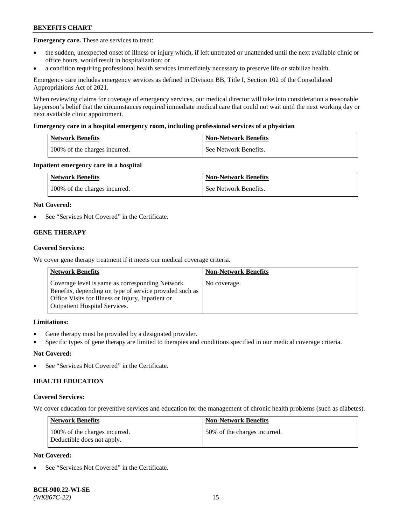**Emergency care.** These are services to treat:

- the sudden, unexpected onset of illness or injury which, if left untreated or unattended until the next available clinic or office hours, would result in hospitalization; or
- a condition requiring professional health services immediately necessary to preserve life or stabilize health.

Emergency care includes emergency services as defined in Division BB, Title I, Section 102 of the Consolidated Appropriations Act of 2021.

When reviewing claims for coverage of emergency services, our medical director will take into consideration a reasonable layperson's belief that the circumstances required immediate medical care that could not wait until the next working day or next available clinic appointment.

#### **Emergency care in a hospital emergency room, including professional services of a physician**

| <b>Network Benefits</b>       | <b>Non-Network Benefits</b> |
|-------------------------------|-----------------------------|
| 100% of the charges incurred. | See Network Benefits.       |

#### **Inpatient emergency care in a hospital**

| <b>Network Benefits</b>       | <b>Non-Network Benefits</b> |
|-------------------------------|-----------------------------|
| 100% of the charges incurred. | See Network Benefits.       |

#### **Not Covered:**

See "Services Not Covered" in the Certificate.

# **GENE THERAPY**

#### **Covered Services:**

We cover gene therapy treatment if it meets our medical coverage criteria.

| <b>Network Benefits</b>                                                                                                                                                                                 | <b>Non-Network Benefits</b> |
|---------------------------------------------------------------------------------------------------------------------------------------------------------------------------------------------------------|-----------------------------|
| Coverage level is same as corresponding Network<br>Benefits, depending on type of service provided such as<br>Office Visits for Illness or Injury, Inpatient or<br><b>Outpatient Hospital Services.</b> | No coverage.                |

## **Limitations:**

- Gene therapy must be provided by a designated provider.
- Specific types of gene therapy are limited to therapies and conditions specified in our medical coverage criteria.

# **Not Covered:**

See "Services Not Covered" in the Certificate.

# **HEALTH EDUCATION**

#### **Covered Services:**

We cover education for preventive services and education for the management of chronic health problems (such as diabetes).

| <b>Network Benefits</b>                                     | <b>Non-Network Benefits</b>  |
|-------------------------------------------------------------|------------------------------|
| 100% of the charges incurred.<br>Deductible does not apply. | 50% of the charges incurred. |

# **Not Covered:**

See "Services Not Covered" in the Certificate.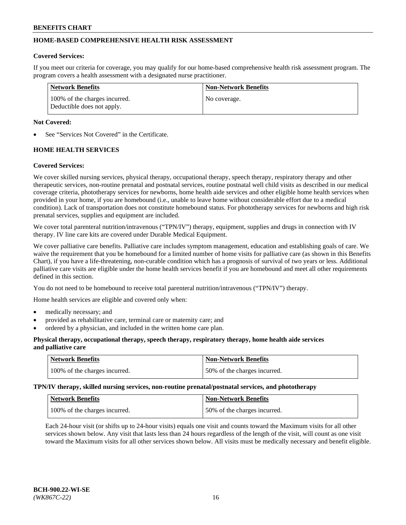# **HOME-BASED COMPREHENSIVE HEALTH RISK ASSESSMENT**

#### **Covered Services:**

If you meet our criteria for coverage, you may qualify for our home-based comprehensive health risk assessment program. The program covers a health assessment with a designated nurse practitioner.

| Network Benefits                                            | <b>Non-Network Benefits</b> |
|-------------------------------------------------------------|-----------------------------|
| 100% of the charges incurred.<br>Deductible does not apply. | No coverage.                |

#### **Not Covered:**

See "Services Not Covered" in the Certificate.

# **HOME HEALTH SERVICES**

#### **Covered Services:**

We cover skilled nursing services, physical therapy, occupational therapy, speech therapy, respiratory therapy and other therapeutic services, non-routine prenatal and postnatal services, routine postnatal well child visits as described in our medical coverage criteria, phototherapy services for newborns, home health aide services and other eligible home health services when provided in your home, if you are homebound (i.e., unable to leave home without considerable effort due to a medical condition). Lack of transportation does not constitute homebound status. For phototherapy services for newborns and high risk prenatal services, supplies and equipment are included.

We cover total parenteral nutrition/intravenous ("TPN/IV") therapy, equipment, supplies and drugs in connection with IV therapy. IV line care kits are covered under Durable Medical Equipment.

We cover palliative care benefits. Palliative care includes symptom management, education and establishing goals of care. We waive the requirement that you be homebound for a limited number of home visits for palliative care (as shown in this Benefits Chart), if you have a life-threatening, non-curable condition which has a prognosis of survival of two years or less. Additional palliative care visits are eligible under the home health services benefit if you are homebound and meet all other requirements defined in this section.

You do not need to be homebound to receive total parenteral nutrition/intravenous ("TPN/IV") therapy.

Home health services are eligible and covered only when:

- medically necessary; and
- provided as rehabilitative care, terminal care or maternity care; and
- ordered by a physician, and included in the written home care plan.

#### **Physical therapy, occupational therapy, speech therapy, respiratory therapy, home health aide services and palliative care**

| Network Benefits              | <b>Non-Network Benefits</b>  |
|-------------------------------|------------------------------|
| 100% of the charges incurred. | 50% of the charges incurred. |

**TPN/IV therapy, skilled nursing services, non-routine prenatal/postnatal services, and phototherapy**

| <b>Network Benefits</b>       | Non-Network Benefits         |
|-------------------------------|------------------------------|
| 100% of the charges incurred. | 50% of the charges incurred. |

Each 24-hour visit (or shifts up to 24-hour visits) equals one visit and counts toward the Maximum visits for all other services shown below. Any visit that lasts less than 24 hours regardless of the length of the visit, will count as one visit toward the Maximum visits for all other services shown below. All visits must be medically necessary and benefit eligible.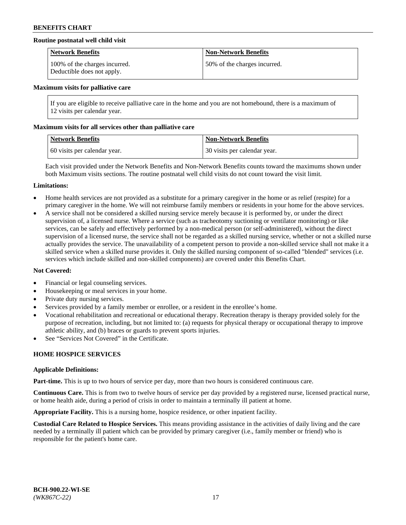## **Routine postnatal well child visit**

| <b>Network Benefits</b>                                     | <b>Non-Network Benefits</b>  |
|-------------------------------------------------------------|------------------------------|
| 100% of the charges incurred.<br>Deductible does not apply. | 50% of the charges incurred. |

#### **Maximum visits for palliative care**

If you are eligible to receive palliative care in the home and you are not homebound, there is a maximum of 12 visits per calendar year.

#### **Maximum visits for all services other than palliative care**

| Network Benefits             | <b>Non-Network Benefits</b>  |
|------------------------------|------------------------------|
| 60 visits per calendar year. | 30 visits per calendar year. |

Each visit provided under the Network Benefits and Non-Network Benefits counts toward the maximums shown under both Maximum visits sections. The routine postnatal well child visits do not count toward the visit limit.

#### **Limitations:**

- Home health services are not provided as a substitute for a primary caregiver in the home or as relief (respite) for a primary caregiver in the home. We will not reimburse family members or residents in your home for the above services.
- A service shall not be considered a skilled nursing service merely because it is performed by, or under the direct supervision of, a licensed nurse. Where a service (such as tracheotomy suctioning or ventilator monitoring) or like services, can be safely and effectively performed by a non-medical person (or self-administered), without the direct supervision of a licensed nurse, the service shall not be regarded as a skilled nursing service, whether or not a skilled nurse actually provides the service. The unavailability of a competent person to provide a non-skilled service shall not make it a skilled service when a skilled nurse provides it. Only the skilled nursing component of so-called "blended" services (i.e. services which include skilled and non-skilled components) are covered under this Benefits Chart.

#### **Not Covered:**

- Financial or legal counseling services.
- Housekeeping or meal services in your home.
- Private duty nursing services.
- Services provided by a family member or enrollee, or a resident in the enrollee's home.
- Vocational rehabilitation and recreational or educational therapy. Recreation therapy is therapy provided solely for the purpose of recreation, including, but not limited to: (a) requests for physical therapy or occupational therapy to improve athletic ability, and (b) braces or guards to prevent sports injuries.
- See "Services Not Covered" in the Certificate.

# **HOME HOSPICE SERVICES**

#### **Applicable Definitions:**

**Part-time.** This is up to two hours of service per day, more than two hours is considered continuous care.

**Continuous Care.** This is from two to twelve hours of service per day provided by a registered nurse, licensed practical nurse, or home health aide, during a period of crisis in order to maintain a terminally ill patient at home.

**Appropriate Facility.** This is a nursing home, hospice residence, or other inpatient facility.

**Custodial Care Related to Hospice Services.** This means providing assistance in the activities of daily living and the care needed by a terminally ill patient which can be provided by primary caregiver (i.e., family member or friend) who is responsible for the patient's home care.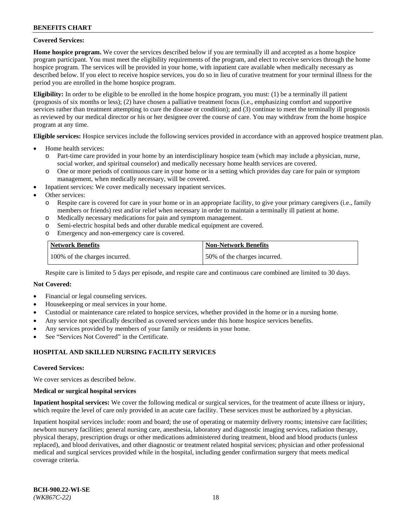#### **Covered Services:**

**Home hospice program.** We cover the services described below if you are terminally ill and accepted as a home hospice program participant. You must meet the eligibility requirements of the program, and elect to receive services through the home hospice program. The services will be provided in your home, with inpatient care available when medically necessary as described below. If you elect to receive hospice services, you do so in lieu of curative treatment for your terminal illness for the period you are enrolled in the home hospice program.

**Eligibility:** In order to be eligible to be enrolled in the home hospice program, you must: (1) be a terminally ill patient (prognosis of six months or less); (2) have chosen a palliative treatment focus (i.e., emphasizing comfort and supportive services rather than treatment attempting to cure the disease or condition); and (3) continue to meet the terminally ill prognosis as reviewed by our medical director or his or her designee over the course of care. You may withdraw from the home hospice program at any time.

**Eligible services:** Hospice services include the following services provided in accordance with an approved hospice treatment plan.

- Home health services:
	- o Part-time care provided in your home by an interdisciplinary hospice team (which may include a physician, nurse, social worker, and spiritual counselor) and medically necessary home health services are covered.
	- o One or more periods of continuous care in your home or in a setting which provides day care for pain or symptom management, when medically necessary, will be covered.
- Inpatient services: We cover medically necessary inpatient services.
- Other services:
	- o Respite care is covered for care in your home or in an appropriate facility, to give your primary caregivers (i.e., family members or friends) rest and/or relief when necessary in order to maintain a terminally ill patient at home.
	- o Medically necessary medications for pain and symptom management.
	- o Semi-electric hospital beds and other durable medical equipment are covered.
	- Emergency and non-emergency care is covered.

| Network Benefits              | <b>Non-Network Benefits</b>  |
|-------------------------------|------------------------------|
| 100% of the charges incurred. | 50% of the charges incurred. |

Respite care is limited to 5 days per episode, and respite care and continuous care combined are limited to 30 days.

# **Not Covered:**

- Financial or legal counseling services.
- Housekeeping or meal services in your home.
- Custodial or maintenance care related to hospice services, whether provided in the home or in a nursing home.
- Any service not specifically described as covered services under this home hospice services benefits.
- Any services provided by members of your family or residents in your home.
- See "Services Not Covered" in the Certificate.

# **HOSPITAL AND SKILLED NURSING FACILITY SERVICES**

#### **Covered Services:**

We cover services as described below.

#### **Medical or surgical hospital services**

**Inpatient hospital services:** We cover the following medical or surgical services, for the treatment of acute illness or injury, which require the level of care only provided in an acute care facility. These services must be authorized by a physician.

Inpatient hospital services include: room and board; the use of operating or maternity delivery rooms; intensive care facilities; newborn nursery facilities; general nursing care, anesthesia, laboratory and diagnostic imaging services, radiation therapy, physical therapy, prescription drugs or other medications administered during treatment, blood and blood products (unless replaced), and blood derivatives, and other diagnostic or treatment related hospital services; physician and other professional medical and surgical services provided while in the hospital, including gender confirmation surgery that meets medical coverage criteria.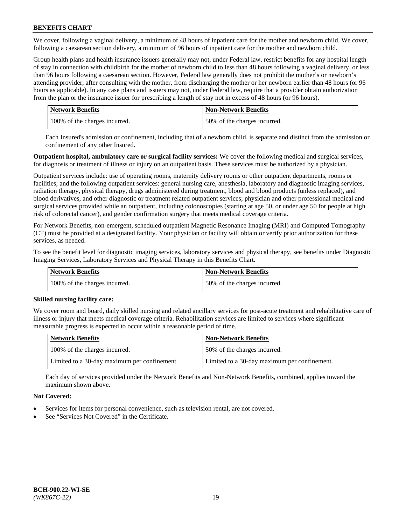We cover, following a vaginal delivery, a minimum of 48 hours of inpatient care for the mother and newborn child. We cover, following a caesarean section delivery, a minimum of 96 hours of inpatient care for the mother and newborn child.

Group health plans and health insurance issuers generally may not, under Federal law, restrict benefits for any hospital length of stay in connection with childbirth for the mother of newborn child to less than 48 hours following a vaginal delivery, or less than 96 hours following a caesarean section. However, Federal law generally does not prohibit the mother's or newborn's attending provider, after consulting with the mother, from discharging the mother or her newborn earlier than 48 hours (or 96 hours as applicable). In any case plans and issuers may not, under Federal law, require that a provider obtain authorization from the plan or the insurance issuer for prescribing a length of stay not in excess of 48 hours (or 96 hours).

| <b>Network Benefits</b>       | <b>Non-Network Benefits</b>  |
|-------------------------------|------------------------------|
| 100% of the charges incurred. | 50% of the charges incurred. |

Each Insured's admission or confinement, including that of a newborn child, is separate and distinct from the admission or confinement of any other Insured.

**Outpatient hospital, ambulatory care or surgical facility services:** We cover the following medical and surgical services, for diagnosis or treatment of illness or injury on an outpatient basis. These services must be authorized by a physician.

Outpatient services include: use of operating rooms, maternity delivery rooms or other outpatient departments, rooms or facilities; and the following outpatient services: general nursing care, anesthesia, laboratory and diagnostic imaging services, radiation therapy, physical therapy, drugs administered during treatment, blood and blood products (unless replaced), and blood derivatives, and other diagnostic or treatment related outpatient services; physician and other professional medical and surgical services provided while an outpatient, including colonoscopies (starting at age 50, or under age 50 for people at high risk of colorectal cancer), and gender confirmation surgery that meets medical coverage criteria.

For Network Benefits, non-emergent, scheduled outpatient Magnetic Resonance Imaging (MRI) and Computed Tomography (CT) must be provided at a designated facility. Your physician or facility will obtain or verify prior authorization for these services, as needed.

To see the benefit level for diagnostic imaging services, laboratory services and physical therapy, see benefits under Diagnostic Imaging Services, Laboratory Services and Physical Therapy in this Benefits Chart.

| <b>Network Benefits</b>       | <b>Non-Network Benefits</b>  |
|-------------------------------|------------------------------|
| 100% of the charges incurred. | 50% of the charges incurred. |

# **Skilled nursing facility care:**

We cover room and board, daily skilled nursing and related ancillary services for post-acute treatment and rehabilitative care of illness or injury that meets medical coverage criteria. Rehabilitation services are limited to services where significant measurable progress is expected to occur within a reasonable period of time.

| Network Benefits                             | <b>Non-Network Benefits</b>                  |
|----------------------------------------------|----------------------------------------------|
| 100% of the charges incurred.                | 50% of the charges incurred.                 |
| Limited to a 30-day maximum per confinement. | Limited to a 30-day maximum per confinement. |

Each day of services provided under the Network Benefits and Non-Network Benefits, combined, applies toward the maximum shown above.

# **Not Covered:**

- Services for items for personal convenience, such as television rental, are not covered.
- See "Services Not Covered" in the Certificate.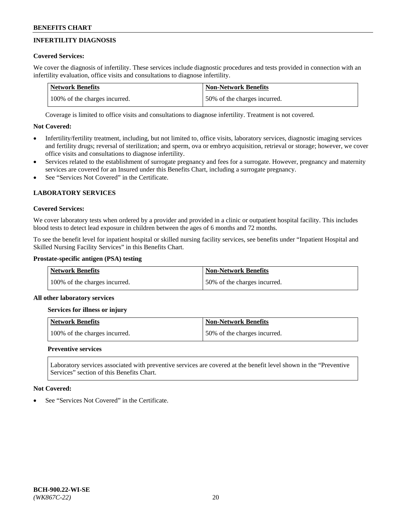# **INFERTILITY DIAGNOSIS**

# **Covered Services:**

We cover the diagnosis of infertility. These services include diagnostic procedures and tests provided in connection with an infertility evaluation, office visits and consultations to diagnose infertility.

| <b>Network Benefits</b>       | <b>Non-Network Benefits</b>  |
|-------------------------------|------------------------------|
| 100% of the charges incurred. | 50% of the charges incurred. |

Coverage is limited to office visits and consultations to diagnose infertility. Treatment is not covered.

# **Not Covered:**

- Infertility/fertility treatment, including, but not limited to, office visits, laboratory services, diagnostic imaging services and fertility drugs; reversal of sterilization; and sperm, ova or embryo acquisition, retrieval or storage; however, we cover office visits and consultations to diagnose infertility.
- Services related to the establishment of surrogate pregnancy and fees for a surrogate. However, pregnancy and maternity services are covered for an Insured under this Benefits Chart, including a surrogate pregnancy.
- See "Services Not Covered" in the Certificate.

# **LABORATORY SERVICES**

# **Covered Services:**

We cover laboratory tests when ordered by a provider and provided in a clinic or outpatient hospital facility. This includes blood tests to detect lead exposure in children between the ages of 6 months and 72 months.

To see the benefit level for inpatient hospital or skilled nursing facility services, see benefits under "Inpatient Hospital and Skilled Nursing Facility Services" in this Benefits Chart.

# **Prostate-specific antigen (PSA) testing**

| <b>Network Benefits</b>       | <b>Non-Network Benefits</b>  |
|-------------------------------|------------------------------|
| 100% of the charges incurred. | 50% of the charges incurred. |

# **All other laboratory services**

**Services for illness or injury**

| Network Benefits              | Non-Network Benefits         |
|-------------------------------|------------------------------|
| 100% of the charges incurred. | 50% of the charges incurred. |

# **Preventive services**

Laboratory services associated with preventive services are covered at the benefit level shown in the "Preventive Services" section of this Benefits Chart.

# **Not Covered:**

See "Services Not Covered" in the Certificate.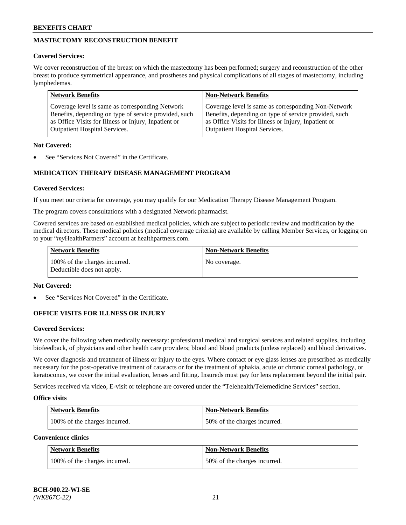# **MASTECTOMY RECONSTRUCTION BENEFIT**

# **Covered Services:**

We cover reconstruction of the breast on which the mastectomy has been performed; surgery and reconstruction of the other breast to produce symmetrical appearance, and prostheses and physical complications of all stages of mastectomy, including lymphedemas.

| <b>Network Benefits</b>                               | <b>Non-Network Benefits</b>                           |
|-------------------------------------------------------|-------------------------------------------------------|
| Coverage level is same as corresponding Network       | Coverage level is same as corresponding Non-Network   |
| Benefits, depending on type of service provided, such | Benefits, depending on type of service provided, such |
| as Office Visits for Illness or Injury, Inpatient or  | as Office Visits for Illness or Injury, Inpatient or  |
| <b>Outpatient Hospital Services.</b>                  | Outpatient Hospital Services.                         |

#### **Not Covered:**

See "Services Not Covered" in the Certificate.

# **MEDICATION THERAPY DISEASE MANAGEMENT PROGRAM**

#### **Covered Services:**

If you meet our criteria for coverage, you may qualify for our Medication Therapy Disease Management Program.

The program covers consultations with a designated Network pharmacist.

Covered services are based on established medical policies, which are subject to periodic review and modification by the medical directors. These medical policies (medical coverage criteria) are available by calling Member Services, or logging on to your "*my*HealthPartners" account at [healthpartners.com.](http://www.healthpartners.com/)

| Network Benefits                                            | <b>Non-Network Benefits</b> |
|-------------------------------------------------------------|-----------------------------|
| 100% of the charges incurred.<br>Deductible does not apply. | No coverage.                |

#### **Not Covered:**

See "Services Not Covered" in the Certificate.

# **OFFICE VISITS FOR ILLNESS OR INJURY**

#### **Covered Services:**

We cover the following when medically necessary: professional medical and surgical services and related supplies, including biofeedback, of physicians and other health care providers; blood and blood products (unless replaced) and blood derivatives.

We cover diagnosis and treatment of illness or injury to the eyes. Where contact or eye glass lenses are prescribed as medically necessary for the post-operative treatment of cataracts or for the treatment of aphakia, acute or chronic corneal pathology, or keratoconus, we cover the initial evaluation, lenses and fitting. Insureds must pay for lens replacement beyond the initial pair.

Services received via video, E-visit or telephone are covered under the "Telehealth/Telemedicine Services" section.

#### **Office visits**

| <b>Network Benefits</b>       | <b>Non-Network Benefits</b>  |
|-------------------------------|------------------------------|
| 100% of the charges incurred. | 50% of the charges incurred. |

**Convenience clinics**

| <b>Network Benefits</b>       | <b>Non-Network Benefits</b>   |
|-------------------------------|-------------------------------|
| 100% of the charges incurred. | 150% of the charges incurred. |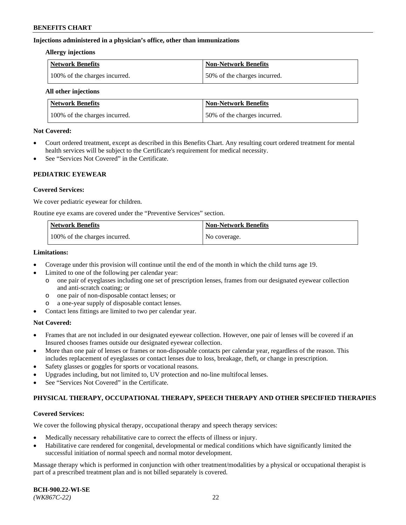#### **Injections administered in a physician's office, other than immunizations**

#### **Allergy injections**

| Network Benefits              | Non-Network Benefits         |
|-------------------------------|------------------------------|
| 100% of the charges incurred. | 50% of the charges incurred. |

#### **All other injections**

| <b>Network Benefits</b>       | <b>Non-Network Benefits</b>  |
|-------------------------------|------------------------------|
| 100% of the charges incurred. | 50% of the charges incurred. |

#### **Not Covered:**

- Court ordered treatment, except as described in this Benefits Chart. Any resulting court ordered treatment for mental health services will be subject to the Certificate's requirement for medical necessity.
- See "Services Not Covered" in the Certificate.

# **PEDIATRIC EYEWEAR**

# **Covered Services:**

We cover pediatric eyewear for children.

Routine eye exams are covered under the "Preventive Services" section.

| <b>Network Benefits</b>       | <b>Non-Network Benefits</b> |
|-------------------------------|-----------------------------|
| 100% of the charges incurred. | No coverage.                |

#### **Limitations:**

- Coverage under this provision will continue until the end of the month in which the child turns age 19.
- Limited to one of the following per calendar year:
	- o one pair of eyeglasses including one set of prescription lenses, frames from our designated eyewear collection and anti-scratch coating; or
	- o one pair of non-disposable contact lenses; or
	- o a one-year supply of disposable contact lenses.
- Contact lens fittings are limited to two per calendar year.

# **Not Covered:**

- Frames that are not included in our designated eyewear collection. However, one pair of lenses will be covered if an Insured chooses frames outside our designated eyewear collection.
- More than one pair of lenses or frames or non-disposable contacts per calendar year, regardless of the reason. This includes replacement of eyeglasses or contact lenses due to loss, breakage, theft, or change in prescription.
- Safety glasses or goggles for sports or vocational reasons.
- Upgrades including, but not limited to, UV protection and no-line multifocal lenses.
- See "Services Not Covered" in the Certificate.

# **PHYSICAL THERAPY, OCCUPATIONAL THERAPY, SPEECH THERAPY AND OTHER SPECIFIED THERAPIES**

# **Covered Services:**

We cover the following physical therapy, occupational therapy and speech therapy services:

- Medically necessary rehabilitative care to correct the effects of illness or injury.
- Habilitative care rendered for congenital, developmental or medical conditions which have significantly limited the successful initiation of normal speech and normal motor development.

Massage therapy which is performed in conjunction with other treatment/modalities by a physical or occupational therapist is part of a prescribed treatment plan and is not billed separately is covered.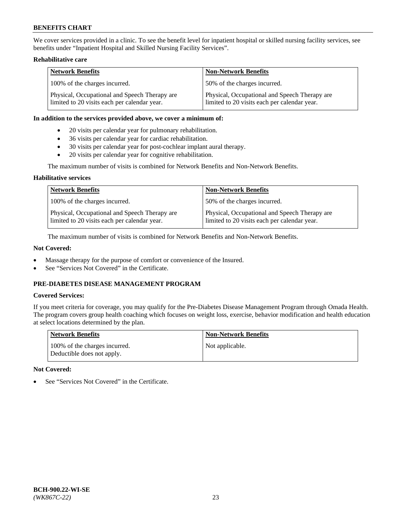We cover services provided in a clinic. To see the benefit level for inpatient hospital or skilled nursing facility services, see benefits under "Inpatient Hospital and Skilled Nursing Facility Services".

# **Rehabilitative care**

| <b>Network Benefits</b>                                                                       | <b>Non-Network Benefits</b>                                                                   |
|-----------------------------------------------------------------------------------------------|-----------------------------------------------------------------------------------------------|
| 100% of the charges incurred.                                                                 | 50% of the charges incurred.                                                                  |
| Physical, Occupational and Speech Therapy are<br>limited to 20 visits each per calendar year. | Physical, Occupational and Speech Therapy are<br>limited to 20 visits each per calendar year. |

#### **In addition to the services provided above, we cover a minimum of:**

- 20 visits per calendar year for pulmonary rehabilitation.
- 36 visits per calendar year for cardiac rehabilitation.
- 30 visits per calendar year for post-cochlear implant aural therapy.
- 20 visits per calendar year for cognitive rehabilitation.

The maximum number of visits is combined for Network Benefits and Non-Network Benefits.

# **Habilitative services**

| <b>Network Benefits</b>                                                                       | <b>Non-Network Benefits</b>                                                                   |
|-----------------------------------------------------------------------------------------------|-----------------------------------------------------------------------------------------------|
| 100% of the charges incurred.                                                                 | 50% of the charges incurred.                                                                  |
| Physical, Occupational and Speech Therapy are<br>limited to 20 visits each per calendar year. | Physical, Occupational and Speech Therapy are<br>limited to 20 visits each per calendar year. |

The maximum number of visits is combined for Network Benefits and Non-Network Benefits.

# **Not Covered:**

- Massage therapy for the purpose of comfort or convenience of the Insured.
- See "Services Not Covered" in the Certificate.

# **PRE-DIABETES DISEASE MANAGEMENT PROGRAM**

# **Covered Services:**

If you meet criteria for coverage, you may qualify for the Pre-Diabetes Disease Management Program through Omada Health. The program covers group health coaching which focuses on weight loss, exercise, behavior modification and health education at select locations determined by the plan.

| <b>Network Benefits</b>                                     | <b>Non-Network Benefits</b> |
|-------------------------------------------------------------|-----------------------------|
| 100% of the charges incurred.<br>Deductible does not apply. | Not applicable.             |

# **Not Covered:**

See "Services Not Covered" in the Certificate.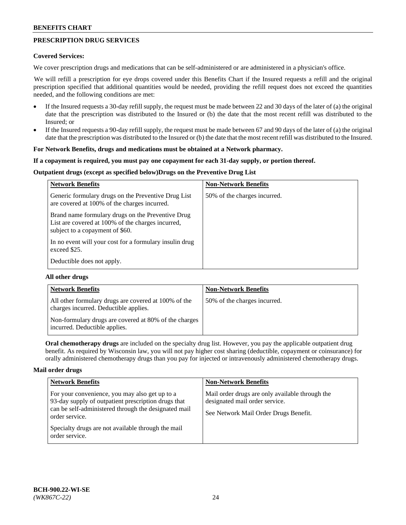# **PRESCRIPTION DRUG SERVICES**

#### **Covered Services:**

We cover prescription drugs and medications that can be self-administered or are administered in a physician's office.

We will refill a prescription for eye drops covered under this Benefits Chart if the Insured requests a refill and the original prescription specified that additional quantities would be needed, providing the refill request does not exceed the quantities needed, and the following conditions are met:

- If the Insured requests a 30-day refill supply, the request must be made between 22 and 30 days of the later of (a) the original date that the prescription was distributed to the Insured or (b) the date that the most recent refill was distributed to the Insured; or
- If the Insured requests a 90-day refill supply, the request must be made between 67 and 90 days of the later of (a) the original date that the prescription was distributed to the Insured or (b) the date that the most recent refill was distributed to the Insured.

#### **For Network Benefits, drugs and medications must be obtained at a Network pharmacy.**

#### **If a copayment is required, you must pay one copayment for each 31-day supply, or portion thereof.**

# **Outpatient drugs (except as specified below)Drugs on the Preventive Drug List**

| <b>Network Benefits</b>                                                                                                                   | <b>Non-Network Benefits</b>  |
|-------------------------------------------------------------------------------------------------------------------------------------------|------------------------------|
| Generic formulary drugs on the Preventive Drug List<br>are covered at 100% of the charges incurred.                                       | 50% of the charges incurred. |
| Brand name formulary drugs on the Preventive Drug<br>List are covered at 100% of the charges incurred,<br>subject to a copayment of \$60. |                              |
| In no event will your cost for a formulary insulin drug<br>exceed \$25.                                                                   |                              |
| Deductible does not apply.                                                                                                                |                              |

# **All other drugs**

| <b>Network Benefits</b>                                                                       | <b>Non-Network Benefits</b>  |
|-----------------------------------------------------------------------------------------------|------------------------------|
| All other formulary drugs are covered at 100% of the<br>charges incurred. Deductible applies. | 50% of the charges incurred. |
| Non-formulary drugs are covered at 80% of the charges<br>incurred. Deductible applies.        |                              |

**Oral chemotherapy drugs** are included on the specialty drug list. However, you pay the applicable outpatient drug benefit. As required by Wisconsin law, you will not pay higher cost sharing (deductible, copayment or coinsurance) for orally administered chemotherapy drugs than you pay for injected or intravenously administered chemotherapy drugs.

#### **Mail order drugs**

| <b>Network Benefits</b>                                                                                                                                                                                                                                 | <b>Non-Network Benefits</b>                                                                                                |
|---------------------------------------------------------------------------------------------------------------------------------------------------------------------------------------------------------------------------------------------------------|----------------------------------------------------------------------------------------------------------------------------|
| For your convenience, you may also get up to a<br>93-day supply of outpatient prescription drugs that<br>can be self-administered through the designated mail<br>order service.<br>Specialty drugs are not available through the mail<br>order service. | Mail order drugs are only available through the<br>designated mail order service.<br>See Network Mail Order Drugs Benefit. |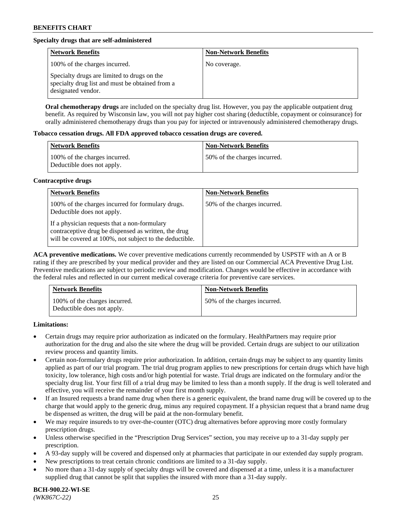# **Specialty drugs that are self-administered**

| <b>Network Benefits</b>                                                                                              | <b>Non-Network Benefits</b> |
|----------------------------------------------------------------------------------------------------------------------|-----------------------------|
| 100% of the charges incurred.                                                                                        | No coverage.                |
| Specialty drugs are limited to drugs on the<br>specialty drug list and must be obtained from a<br>designated vendor. |                             |

**Oral chemotherapy drugs** are included on the specialty drug list. However, you pay the applicable outpatient drug benefit. As required by Wisconsin law, you will not pay higher cost sharing (deductible, copayment or coinsurance) for orally administered chemotherapy drugs than you pay for injected or intravenously administered chemotherapy drugs.

#### **Tobacco cessation drugs. All FDA approved tobacco cessation drugs are covered.**

| Network Benefits                                            | <b>Non-Network Benefits</b>   |
|-------------------------------------------------------------|-------------------------------|
| 100% of the charges incurred.<br>Deductible does not apply. | 150% of the charges incurred. |

# **Contraceptive drugs**

| <b>Network Benefits</b>                                                                                                                                         | <b>Non-Network Benefits</b>  |
|-----------------------------------------------------------------------------------------------------------------------------------------------------------------|------------------------------|
| 100% of the charges incurred for formulary drugs.<br>Deductible does not apply.                                                                                 | 50% of the charges incurred. |
| If a physician requests that a non-formulary<br>contraceptive drug be dispensed as written, the drug<br>will be covered at 100%, not subject to the deductible. |                              |

**ACA preventive medications.** We cover preventive medications currently recommended by USPSTF with an A or B rating if they are prescribed by your medical provider and they are listed on our Commercial ACA Preventive Drug List. Preventive medications are subject to periodic review and modification. Changes would be effective in accordance with the federal rules and reflected in our current medical coverage criteria for preventive care services.

| <b>Network Benefits</b>                                     | <b>Non-Network Benefits</b>  |
|-------------------------------------------------------------|------------------------------|
| 100% of the charges incurred.<br>Deductible does not apply. | 50% of the charges incurred. |

# **Limitations:**

- Certain drugs may require prior authorization as indicated on the formulary. HealthPartners may require prior authorization for the drug and also the site where the drug will be provided. Certain drugs are subject to our utilization review process and quantity limits.
- Certain non-formulary drugs require prior authorization. In addition, certain drugs may be subject to any quantity limits applied as part of our trial program. The trial drug program applies to new prescriptions for certain drugs which have high toxicity, low tolerance, high costs and/or high potential for waste. Trial drugs are indicated on the formulary and/or the specialty drug list. Your first fill of a trial drug may be limited to less than a month supply. If the drug is well tolerated and effective, you will receive the remainder of your first month supply.
- If an Insured requests a brand name drug when there is a generic equivalent, the brand name drug will be covered up to the charge that would apply to the generic drug, minus any required copayment. If a physician request that a brand name drug be dispensed as written, the drug will be paid at the non-formulary benefit.
- We may require insureds to try over-the-counter (OTC) drug alternatives before approving more costly formulary prescription drugs.
- Unless otherwise specified in the "Prescription Drug Services" section, you may receive up to a 31-day supply per prescription.
- A 93-day supply will be covered and dispensed only at pharmacies that participate in our extended day supply program.
- New prescriptions to treat certain chronic conditions are limited to a 31-day supply.
- No more than a 31-day supply of specialty drugs will be covered and dispensed at a time, unless it is a manufacturer supplied drug that cannot be split that supplies the insured with more than a 31-day supply.

**BCH-900.22-WI-SE**  *(WK867C-22)* 25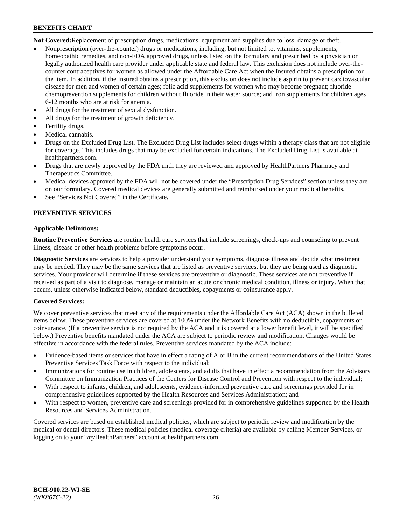**Not Covered:**Replacement of prescription drugs, medications, equipment and supplies due to loss, damage or theft.

- Nonprescription (over-the-counter) drugs or medications, including, but not limited to, vitamins, supplements, homeopathic remedies, and non-FDA approved drugs, unless listed on the formulary and prescribed by a physician or legally authorized health care provider under applicable state and federal law. This exclusion does not include over-thecounter contraceptives for women as allowed under the Affordable Care Act when the Insured obtains a prescription for the item. In addition, if the Insured obtains a prescription, this exclusion does not include aspirin to prevent cardiovascular disease for men and women of certain ages; folic acid supplements for women who may become pregnant; fluoride chemoprevention supplements for children without fluoride in their water source; and iron supplements for children ages 6-12 months who are at risk for anemia.
- All drugs for the treatment of sexual dysfunction.
- All drugs for the treatment of growth deficiency.
- Fertility drugs.
- Medical cannabis.
- Drugs on the Excluded Drug List. The Excluded Drug List includes select drugs within a therapy class that are not eligible for coverage. This includes drugs that may be excluded for certain indications. The Excluded Drug List is available at [healthpartners.com.](http://www.healthpartners.com/)
- Drugs that are newly approved by the FDA until they are reviewed and approved by HealthPartners Pharmacy and Therapeutics Committee.
- Medical devices approved by the FDA will not be covered under the "Prescription Drug Services" section unless they are on our formulary. Covered medical devices are generally submitted and reimbursed under your medical benefits.
- See "Services Not Covered" in the Certificate.

# **PREVENTIVE SERVICES**

#### **Applicable Definitions:**

**Routine Preventive Services** are routine health care services that include screenings, check-ups and counseling to prevent illness, disease or other health problems before symptoms occur.

**Diagnostic Services** are services to help a provider understand your symptoms, diagnose illness and decide what treatment may be needed. They may be the same services that are listed as preventive services, but they are being used as diagnostic services. Your provider will determine if these services are preventive or diagnostic. These services are not preventive if received as part of a visit to diagnose, manage or maintain an acute or chronic medical condition, illness or injury. When that occurs, unless otherwise indicated below, standard deductibles, copayments or coinsurance apply.

# **Covered Services:**

We cover preventive services that meet any of the requirements under the Affordable Care Act (ACA) shown in the bulleted items below. These preventive services are covered at 100% under the Network Benefits with no deductible, copayments or coinsurance. (If a preventive service is not required by the ACA and it is covered at a lower benefit level, it will be specified below.) Preventive benefits mandated under the ACA are subject to periodic review and modification. Changes would be effective in accordance with the federal rules. Preventive services mandated by the ACA include:

- Evidence-based items or services that have in effect a rating of A or B in the current recommendations of the United States Preventive Services Task Force with respect to the individual;
- Immunizations for routine use in children, adolescents, and adults that have in effect a recommendation from the Advisory Committee on Immunization Practices of the Centers for Disease Control and Prevention with respect to the individual;
- With respect to infants, children, and adolescents, evidence-informed preventive care and screenings provided for in comprehensive guidelines supported by the Health Resources and Services Administration; and
- With respect to women, preventive care and screenings provided for in comprehensive guidelines supported by the Health Resources and Services Administration.

Covered services are based on established medical policies, which are subject to periodic review and modification by the medical or dental directors. These medical policies (medical coverage criteria) are available by calling Member Services, or logging on to your "*my*HealthPartners" account at [healthpartners.com.](https://www.healthpartners.com/hp/index.html)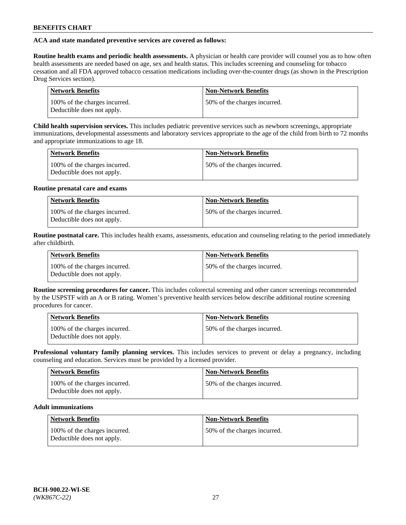# **ACA and state mandated preventive services are covered as follows:**

**Routine health exams and periodic health assessments.** A physician or health care provider will counsel you as to how often health assessments are needed based on age, sex and health status. This includes screening and counseling for tobacco cessation and all FDA approved tobacco cessation medications including over-the-counter drugs (as shown in the Prescription Drug Services section).

| <b>Network Benefits</b>                                     | <b>Non-Network Benefits</b>   |
|-------------------------------------------------------------|-------------------------------|
| 100% of the charges incurred.<br>Deductible does not apply. | 150% of the charges incurred. |

**Child health supervision services.** This includes pediatric preventive services such as newborn screenings, appropriate immunizations, developmental assessments and laboratory services appropriate to the age of the child from birth to 72 months and appropriate immunizations to age 18.

| <b>Network Benefits</b>                                     | <b>Non-Network Benefits</b>  |
|-------------------------------------------------------------|------------------------------|
| 100% of the charges incurred.<br>Deductible does not apply. | 50% of the charges incurred. |

#### **Routine prenatal care and exams**

| <b>Network Benefits</b>                                     | <b>Non-Network Benefits</b>  |
|-------------------------------------------------------------|------------------------------|
| 100% of the charges incurred.<br>Deductible does not apply. | 50% of the charges incurred. |

**Routine postnatal care.** This includes health exams, assessments, education and counseling relating to the period immediately after childbirth.

| <b>Network Benefits</b>                                     | <b>Non-Network Benefits</b>  |
|-------------------------------------------------------------|------------------------------|
| 100% of the charges incurred.<br>Deductible does not apply. | 50% of the charges incurred. |

**Routine screening procedures for cancer.** This includes colorectal screening and other cancer screenings recommended by the USPSTF with an A or B rating. Women's preventive health services below describe additional routine screening procedures for cancer.

| <b>Network Benefits</b>                                     | <b>Non-Network Benefits</b>   |
|-------------------------------------------------------------|-------------------------------|
| 100% of the charges incurred.<br>Deductible does not apply. | 150% of the charges incurred. |

**Professional voluntary family planning services.** This includes services to prevent or delay a pregnancy, including counseling and education. Services must be provided by a licensed provider.

| <b>Network Benefits</b>                                     | <b>Non-Network Benefits</b>  |
|-------------------------------------------------------------|------------------------------|
| 100% of the charges incurred.<br>Deductible does not apply. | 50% of the charges incurred. |

# **Adult immunizations**

| Network Benefits                                            | <b>Non-Network Benefits</b>  |
|-------------------------------------------------------------|------------------------------|
| 100% of the charges incurred.<br>Deductible does not apply. | 50% of the charges incurred. |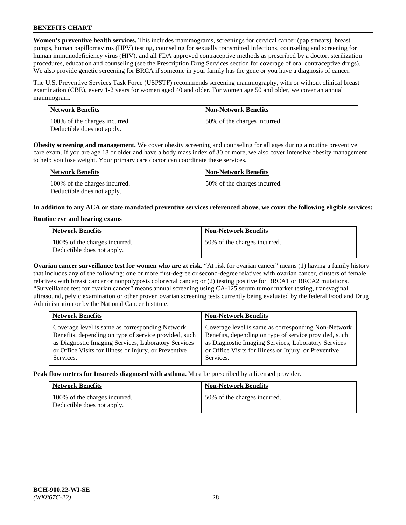**Women's preventive health services.** This includes mammograms, screenings for cervical cancer (pap smears), breast pumps, human papillomavirus (HPV) testing, counseling for sexually transmitted infections, counseling and screening for human immunodeficiency virus (HIV), and all FDA approved contraceptive methods as prescribed by a doctor, sterilization procedures, education and counseling (see the Prescription Drug Services section for coverage of oral contraceptive drugs). We also provide genetic screening for BRCA if someone in your family has the gene or you have a diagnosis of cancer.

The U.S. Preventive Services Task Force (USPSTF) recommends screening mammography, with or without clinical breast examination (CBE), every 1-2 years for women aged 40 and older. For women age 50 and older, we cover an annual mammogram.

| <b>Network Benefits</b>                                     | <b>Non-Network Benefits</b>  |
|-------------------------------------------------------------|------------------------------|
| 100% of the charges incurred.<br>Deductible does not apply. | 50% of the charges incurred. |

**Obesity screening and management.** We cover obesity screening and counseling for all ages during a routine preventive care exam. If you are age 18 or older and have a body mass index of 30 or more, we also cover intensive obesity management to help you lose weight. Your primary care doctor can coordinate these services.

| Network Benefits                                            | <b>Non-Network Benefits</b>  |
|-------------------------------------------------------------|------------------------------|
| 100% of the charges incurred.<br>Deductible does not apply. | 50% of the charges incurred. |

**In addition to any ACA or state mandated preventive services referenced above, we cover the following eligible services:**

#### **Routine eye and hearing exams**

| <b>Network Benefits</b>                                     | <b>Non-Network Benefits</b>  |
|-------------------------------------------------------------|------------------------------|
| 100% of the charges incurred.<br>Deductible does not apply. | 50% of the charges incurred. |

**Ovarian cancer surveillance test for women who are at risk.** "At risk for ovarian cancer" means (1) having a family history that includes any of the following: one or more first-degree or second-degree relatives with ovarian cancer, clusters of female relatives with breast cancer or nonpolyposis colorectal cancer; or (2) testing positive for BRCA1 or BRCA2 mutations. "Surveillance test for ovarian cancer" means annual screening using CA-125 serum tumor marker testing, transvaginal ultrasound, pelvic examination or other proven ovarian screening tests currently being evaluated by the federal Food and Drug Administration or by the National Cancer Institute.

| <b>Network Benefits</b>                               | <b>Non-Network Benefits</b>                           |
|-------------------------------------------------------|-------------------------------------------------------|
| Coverage level is same as corresponding Network       | Coverage level is same as corresponding Non-Network   |
| Benefits, depending on type of service provided, such | Benefits, depending on type of service provided, such |
| as Diagnostic Imaging Services, Laboratory Services   | as Diagnostic Imaging Services, Laboratory Services   |
| or Office Visits for Illness or Injury, or Preventive | or Office Visits for Illness or Injury, or Preventive |
| Services.                                             | Services.                                             |

**Peak flow meters for Insureds diagnosed with asthma.** Must be prescribed by a licensed provider.

| <b>Network Benefits</b>                                     | <b>Non-Network Benefits</b>  |
|-------------------------------------------------------------|------------------------------|
| 100% of the charges incurred.<br>Deductible does not apply. | 50% of the charges incurred. |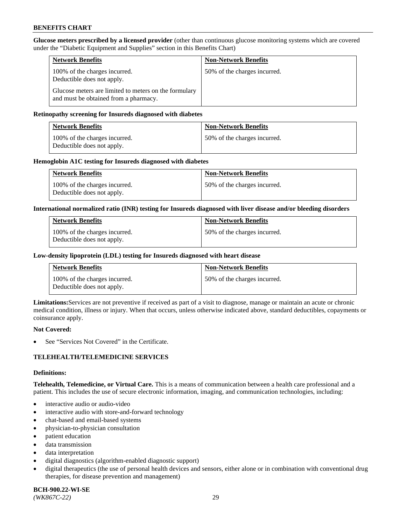**Glucose meters prescribed by a licensed provider** (other than continuous glucose monitoring systems which are covered under the "Diabetic Equipment and Supplies" section in this Benefits Chart)

| <b>Network Benefits</b>                                                                        | <b>Non-Network Benefits</b>  |
|------------------------------------------------------------------------------------------------|------------------------------|
| 100% of the charges incurred.<br>Deductible does not apply.                                    | 50% of the charges incurred. |
| Glucose meters are limited to meters on the formulary<br>and must be obtained from a pharmacy. |                              |

#### **Retinopathy screening for Insureds diagnosed with diabetes**

| <b>Network Benefits</b>                                     | <b>Non-Network Benefits</b>  |
|-------------------------------------------------------------|------------------------------|
| 100% of the charges incurred.<br>Deductible does not apply. | 50% of the charges incurred. |

#### **Hemoglobin A1C testing for Insureds diagnosed with diabetes**

| <b>Network Benefits</b>                                     | <b>Non-Network Benefits</b>  |
|-------------------------------------------------------------|------------------------------|
| 100% of the charges incurred.<br>Deductible does not apply. | 50% of the charges incurred. |

#### **International normalized ratio (INR) testing for Insureds diagnosed with liver disease and/or bleeding disorders**

| <b>Network Benefits</b>                                     | <b>Non-Network Benefits</b>  |
|-------------------------------------------------------------|------------------------------|
| 100% of the charges incurred.<br>Deductible does not apply. | 50% of the charges incurred. |

#### **Low-density lipoprotein (LDL) testing for Insureds diagnosed with heart disease**

| <b>Network Benefits</b>                                     | <b>Non-Network Benefits</b>  |
|-------------------------------------------------------------|------------------------------|
| 100% of the charges incurred.<br>Deductible does not apply. | 50% of the charges incurred. |

**Limitations:**Services are not preventive if received as part of a visit to diagnose, manage or maintain an acute or chronic medical condition, illness or injury. When that occurs, unless otherwise indicated above, standard deductibles, copayments or coinsurance apply.

#### **Not Covered:**

See "Services Not Covered" in the Certificate.

# **TELEHEALTH/TELEMEDICINE SERVICES**

#### **Definitions:**

**Telehealth, Telemedicine, or Virtual Care.** This is a means of communication between a health care professional and a patient. This includes the use of secure electronic information, imaging, and communication technologies, including:

- interactive audio or audio-video
- interactive audio with store-and-forward technology
- chat-based and email-based systems
- physician-to-physician consultation
- patient education
- data transmission
- data interpretation
- digital diagnostics (algorithm-enabled diagnostic support)
- digital therapeutics (the use of personal health devices and sensors, either alone or in combination with conventional drug therapies, for disease prevention and management)

**BCH-900.22-WI-SE**  *(WK867C-22)* 29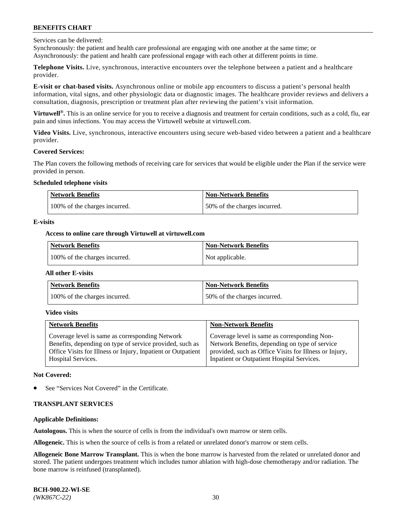Services can be delivered:

Synchronously: the patient and health care professional are engaging with one another at the same time; or Asynchronously: the patient and health care professional engage with each other at different points in time.

**Telephone Visits.** Live, synchronous, interactive encounters over the telephone between a patient and a healthcare provider.

**E-visit or chat-based visits.** Asynchronous online or mobile app encounters to discuss a patient's personal health information, vital signs, and other physiologic data or diagnostic images. The healthcare provider reviews and delivers a consultation, diagnosis, prescription or treatment plan after reviewing the patient's visit information.

**Virtuwell®.** This is an online service for you to receive a diagnosis and treatment for certain conditions, such as a cold, flu, ear pain and sinus infections. You may access the Virtuwell website at [virtuwell.com.](https://www.virtuwell.com/)

**Video Visits.** Live, synchronous, interactive encounters using secure web-based video between a patient and a healthcare provider.

#### **Covered Services:**

The Plan covers the following methods of receiving care for services that would be eligible under the Plan if the service were provided in person.

#### **Scheduled telephone visits**

| <b>Network Benefits</b>       | <b>Non-Network Benefits</b>  |
|-------------------------------|------------------------------|
| 100% of the charges incurred. | 50% of the charges incurred. |

#### **E-visits**

#### **Access to online care through Virtuwell at [virtuwell.com](https://www.virtuwell.com/)**

| Network Benefits              | <b>Non-Network Benefits</b> |
|-------------------------------|-----------------------------|
| 100% of the charges incurred. | Not applicable.             |

#### **All other E-visits**

| <b>Network Benefits</b>       | <b>Non-Network Benefits</b>  |
|-------------------------------|------------------------------|
| 100% of the charges incurred. | 50% of the charges incurred. |

#### **Video visits**

| <b>Network Benefits</b>                                      | <b>Non-Network Benefits</b>                            |
|--------------------------------------------------------------|--------------------------------------------------------|
| Coverage level is same as corresponding Network              | Coverage level is same as corresponding Non-           |
| Benefits, depending on type of service provided, such as     | Network Benefits, depending on type of service         |
| Office Visits for Illness or Injury, Inpatient or Outpatient | provided, such as Office Visits for Illness or Injury, |
| <b>Hospital Services.</b>                                    | Inpatient or Outpatient Hospital Services.             |

#### **Not Covered:**

See "Services Not Covered" in the Certificate.

# **TRANSPLANT SERVICES**

# **Applicable Definitions:**

**Autologous.** This is when the source of cells is from the individual's own marrow or stem cells.

**Allogeneic.** This is when the source of cells is from a related or unrelated donor's marrow or stem cells.

**Allogeneic Bone Marrow Transplant.** This is when the bone marrow is harvested from the related or unrelated donor and stored. The patient undergoes treatment which includes tumor ablation with high-dose chemotherapy and/or radiation. The bone marrow is reinfused (transplanted).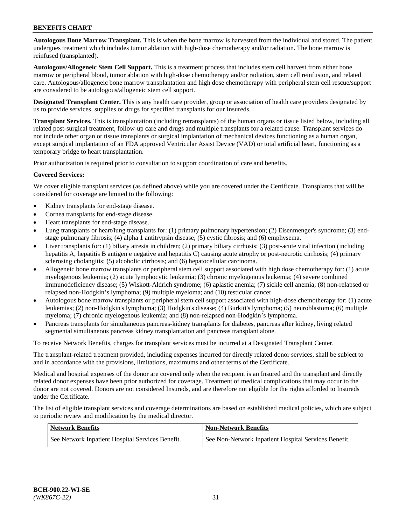**Autologous Bone Marrow Transplant.** This is when the bone marrow is harvested from the individual and stored. The patient undergoes treatment which includes tumor ablation with high-dose chemotherapy and/or radiation. The bone marrow is reinfused (transplanted).

**Autologous/Allogeneic Stem Cell Support.** This is a treatment process that includes stem cell harvest from either bone marrow or peripheral blood, tumor ablation with high-dose chemotherapy and/or radiation, stem cell reinfusion, and related care. Autologous/allogeneic bone marrow transplantation and high dose chemotherapy with peripheral stem cell rescue/support are considered to be autologous/allogeneic stem cell support.

**Designated Transplant Center.** This is any health care provider, group or association of health care providers designated by us to provide services, supplies or drugs for specified transplants for our Insureds.

**Transplant Services.** This is transplantation (including retransplants) of the human organs or tissue listed below, including all related post-surgical treatment, follow-up care and drugs and multiple transplants for a related cause. Transplant services do not include other organ or tissue transplants or surgical implantation of mechanical devices functioning as a human organ, except surgical implantation of an FDA approved Ventricular Assist Device (VAD) or total artificial heart, functioning as a temporary bridge to heart transplantation.

Prior authorization is required prior to consultation to support coordination of care and benefits.

#### **Covered Services:**

We cover eligible transplant services (as defined above) while you are covered under the Certificate. Transplants that will be considered for coverage are limited to the following:

- Kidney transplants for end-stage disease.
- Cornea transplants for end-stage disease.
- Heart transplants for end-stage disease.
- Lung transplants or heart/lung transplants for: (1) primary pulmonary hypertension; (2) Eisenmenger's syndrome; (3) endstage pulmonary fibrosis; (4) alpha 1 antitrypsin disease; (5) cystic fibrosis; and (6) emphysema.
- Liver transplants for: (1) biliary atresia in children; (2) primary biliary cirrhosis; (3) post-acute viral infection (including hepatitis A, hepatitis B antigen e negative and hepatitis C) causing acute atrophy or post-necrotic cirrhosis; (4) primary sclerosing cholangitis; (5) alcoholic cirrhosis; and (6) hepatocellular carcinoma.
- Allogeneic bone marrow transplants or peripheral stem cell support associated with high dose chemotherapy for: (1) acute myelogenous leukemia; (2) acute lymphocytic leukemia; (3) chronic myelogenous leukemia; (4) severe combined immunodeficiency disease; (5) Wiskott-Aldrich syndrome; (6) aplastic anemia; (7) sickle cell anemia; (8) non-relapsed or relapsed non-Hodgkin's lymphoma; (9) multiple myeloma; and (10) testicular cancer.
- Autologous bone marrow transplants or peripheral stem cell support associated with high-dose chemotherapy for: (1) acute leukemias; (2) non-Hodgkin's lymphoma; (3) Hodgkin's disease; (4) Burkitt's lymphoma; (5) neuroblastoma; (6) multiple myeloma; (7) chronic myelogenous leukemia; and (8) non-relapsed non-Hodgkin's lymphoma.
- Pancreas transplants for simultaneous pancreas-kidney transplants for diabetes, pancreas after kidney, living related segmental simultaneous pancreas kidney transplantation and pancreas transplant alone.

To receive Network Benefits, charges for transplant services must be incurred at a Designated Transplant Center.

The transplant-related treatment provided, including expenses incurred for directly related donor services, shall be subject to and in accordance with the provisions, limitations, maximums and other terms of the Certificate.

Medical and hospital expenses of the donor are covered only when the recipient is an Insured and the transplant and directly related donor expenses have been prior authorized for coverage. Treatment of medical complications that may occur to the donor are not covered. Donors are not considered Insureds, and are therefore not eligible for the rights afforded to Insureds under the Certificate.

The list of eligible transplant services and coverage determinations are based on established medical policies, which are subject to periodic review and modification by the medical director.

| Network Benefits                                 | <b>Non-Network Benefits</b>                          |
|--------------------------------------------------|------------------------------------------------------|
| See Network Inpatient Hospital Services Benefit. | See Non-Network Inpatient Hospital Services Benefit. |